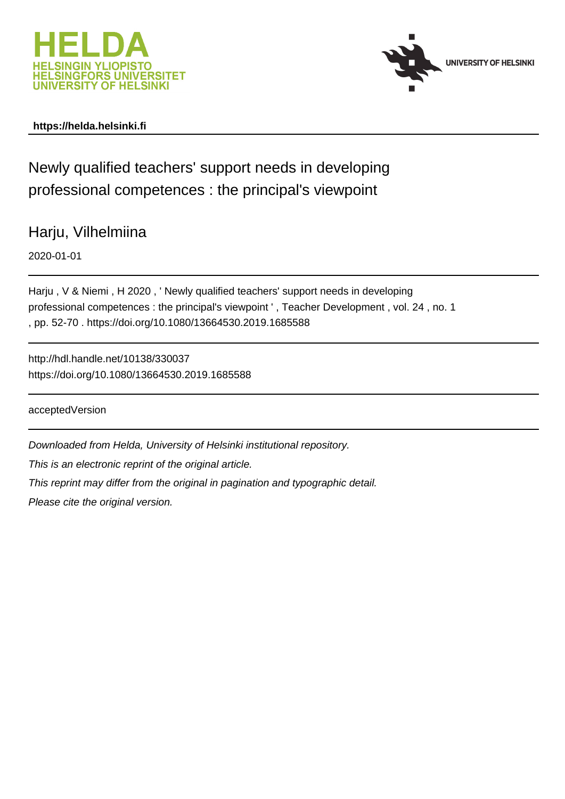



# **https://helda.helsinki.fi**

Newly qualified teachers' support needs in developing professional competences : the principal's viewpoint

Harju, Vilhelmiina

2020-01-01

Harju , V & Niemi , H 2020 , ' Newly qualified teachers' support needs in developing professional competences : the principal's viewpoint ' , Teacher Development , vol. 24 , no. 1 , pp. 52-70 . https://doi.org/10.1080/13664530.2019.1685588

http://hdl.handle.net/10138/330037 https://doi.org/10.1080/13664530.2019.1685588

acceptedVersion

Downloaded from Helda, University of Helsinki institutional repository. This is an electronic reprint of the original article. This reprint may differ from the original in pagination and typographic detail. Please cite the original version.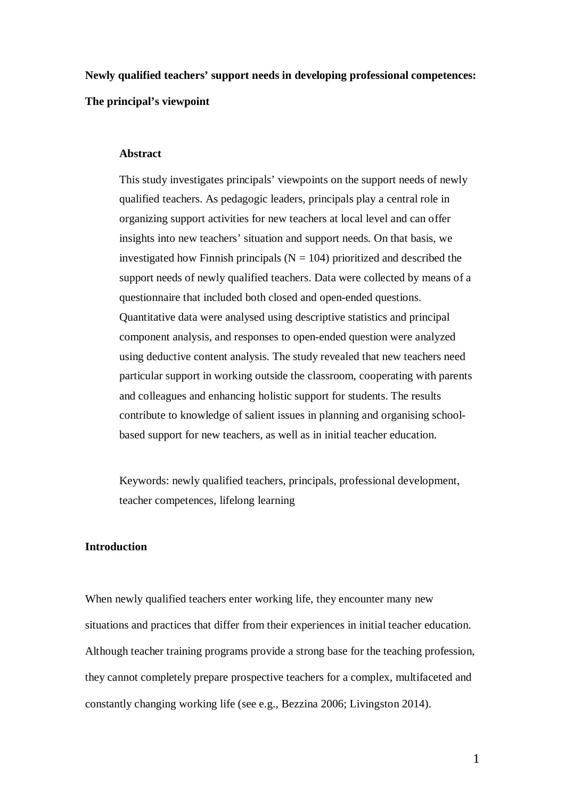**Newly qualified teachers' support needs in developing professional competences: The principal's viewpoint**

#### **Abstract**

This study investigates principals' viewpoints on the support needs of newly qualified teachers. As pedagogic leaders, principals play a central role in organizing support activities for new teachers at local level and can offer insights into new teachers' situation and support needs. On that basis, we investigated how Finnish principals ( $N = 104$ ) prioritized and described the support needs of newly qualified teachers. Data were collected by means of a questionnaire that included both closed and open-ended questions. Quantitative data were analysed using descriptive statistics and principal component analysis, and responses to open-ended question were analyzed using deductive content analysis. The study revealed that new teachers need particular support in working outside the classroom, cooperating with parents and colleagues and enhancing holistic support for students. The results contribute to knowledge of salient issues in planning and organising schoolbased support for new teachers, as well as in initial teacher education.

Keywords: newly qualified teachers, principals, professional development, teacher competences, lifelong learning

## **Introduction**

When newly qualified teachers enter working life, they encounter many new situations and practices that differ from their experiences in initial teacher education. Although teacher training programs provide a strong base for the teaching profession, they cannot completely prepare prospective teachers for a complex, multifaceted and constantly changing working life (see e.g., Bezzina 2006; Livingston 2014).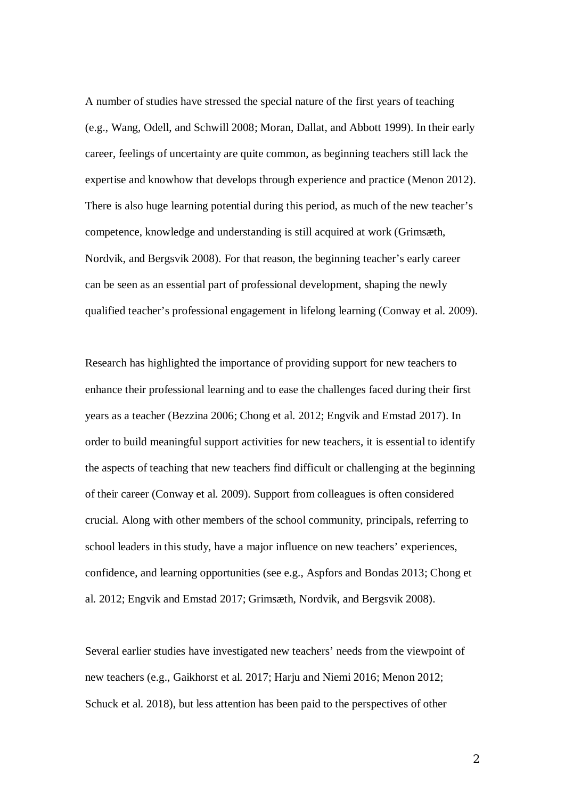A number of studies have stressed the special nature of the first years of teaching (e.g., Wang, Odell, and Schwill 2008; Moran, Dallat, and Abbott 1999). In their early career, feelings of uncertainty are quite common, as beginning teachers still lack the expertise and knowhow that develops through experience and practice (Menon 2012). There is also huge learning potential during this period, as much of the new teacher's competence, knowledge and understanding is still acquired at work (Grimsæth, Nordvik, and Bergsvik 2008). For that reason, the beginning teacher's early career can be seen as an essential part of professional development, shaping the newly qualified teacher's professional engagement in lifelong learning (Conway et al. 2009).

Research has highlighted the importance of providing support for new teachers to enhance their professional learning and to ease the challenges faced during their first years as a teacher (Bezzina 2006; Chong et al. 2012; Engvik and Emstad 2017). In order to build meaningful support activities for new teachers, it is essential to identify the aspects of teaching that new teachers find difficult or challenging at the beginning of their career (Conway et al. 2009). Support from colleagues is often considered crucial. Along with other members of the school community, principals, referring to school leaders in this study, have a major influence on new teachers' experiences, confidence, and learning opportunities (see e.g., Aspfors and Bondas 2013; Chong et al. 2012; Engvik and Emstad 2017; Grimsæth, Nordvik, and Bergsvik 2008).

Several earlier studies have investigated new teachers' needs from the viewpoint of new teachers (e.g., Gaikhorst et al. 2017; Harju and Niemi 2016; Menon 2012; Schuck et al. 2018), but less attention has been paid to the perspectives of other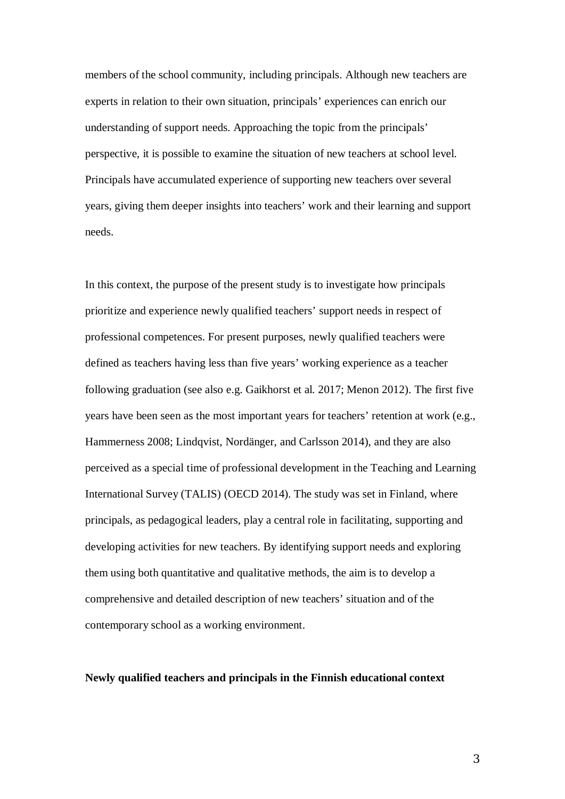members of the school community, including principals. Although new teachers are experts in relation to their own situation, principals' experiences can enrich our understanding of support needs. Approaching the topic from the principals' perspective, it is possible to examine the situation of new teachers at school level. Principals have accumulated experience of supporting new teachers over several years, giving them deeper insights into teachers' work and their learning and support needs.

In this context, the purpose of the present study is to investigate how principals prioritize and experience newly qualified teachers' support needs in respect of professional competences. For present purposes, newly qualified teachers were defined as teachers having less than five years' working experience as a teacher following graduation (see also e.g. Gaikhorst et al. 2017; Menon 2012). The first five years have been seen as the most important years for teachers' retention at work (e.g., Hammerness 2008; Lindqvist, Nordänger, and Carlsson 2014), and they are also perceived as a special time of professional development in the Teaching and Learning International Survey (TALIS) (OECD 2014). The study was set in Finland, where principals, as pedagogical leaders, play a central role in facilitating, supporting and developing activities for new teachers. By identifying support needs and exploring them using both quantitative and qualitative methods, the aim is to develop a comprehensive and detailed description of new teachers' situation and of the contemporary school as a working environment.

## **Newly qualified teachers and principals in the Finnish educational context**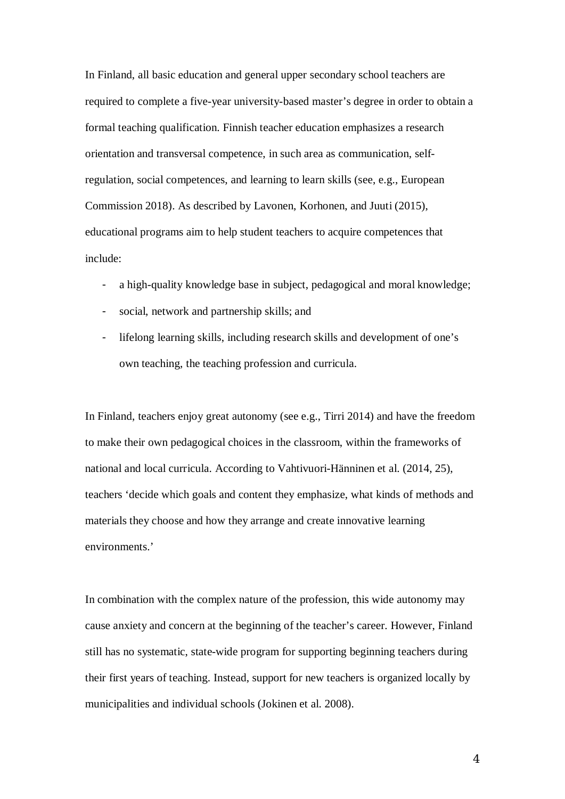In Finland, all basic education and general upper secondary school teachers are required to complete a five-year university-based master's degree in order to obtain a formal teaching qualification. Finnish teacher education emphasizes a research orientation and transversal competence, in such area as communication, selfregulation, social competences, and learning to learn skills (see, e.g., European Commission 2018). As described by Lavonen, Korhonen, and Juuti (2015), educational programs aim to help student teachers to acquire competences that include:

- a high-quality knowledge base in subject, pedagogical and moral knowledge;
- social, network and partnership skills; and
- lifelong learning skills, including research skills and development of one's own teaching, the teaching profession and curricula.

In Finland, teachers enjoy great autonomy (see e.g., Tirri 2014) and have the freedom to make their own pedagogical choices in the classroom, within the frameworks of national and local curricula. According to Vahtivuori-Hänninen et al. (2014, 25), teachers 'decide which goals and content they emphasize, what kinds of methods and materials they choose and how they arrange and create innovative learning environments.'

In combination with the complex nature of the profession, this wide autonomy may cause anxiety and concern at the beginning of the teacher's career. However, Finland still has no systematic, state-wide program for supporting beginning teachers during their first years of teaching. Instead, support for new teachers is organized locally by municipalities and individual schools (Jokinen et al. 2008).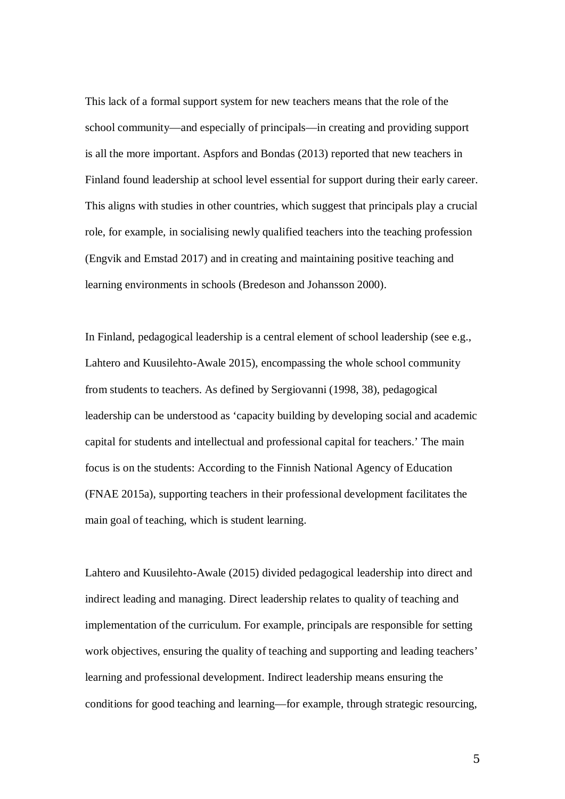This lack of a formal support system for new teachers means that the role of the school community—and especially of principals—in creating and providing support is all the more important. Aspfors and Bondas (2013) reported that new teachers in Finland found leadership at school level essential for support during their early career. This aligns with studies in other countries, which suggest that principals play a crucial role, for example, in socialising newly qualified teachers into the teaching profession (Engvik and Emstad 2017) and in creating and maintaining positive teaching and learning environments in schools (Bredeson and Johansson 2000).

In Finland, pedagogical leadership is a central element of school leadership (see e.g., Lahtero and Kuusilehto-Awale 2015), encompassing the whole school community from students to teachers. As defined by Sergiovanni (1998, 38), pedagogical leadership can be understood as 'capacity building by developing social and academic capital for students and intellectual and professional capital for teachers.' The main focus is on the students: According to the Finnish National Agency of Education (FNAE 2015a), supporting teachers in their professional development facilitates the main goal of teaching, which is student learning.

Lahtero and Kuusilehto-Awale (2015) divided pedagogical leadership into direct and indirect leading and managing. Direct leadership relates to quality of teaching and implementation of the curriculum. For example, principals are responsible for setting work objectives, ensuring the quality of teaching and supporting and leading teachers' learning and professional development. Indirect leadership means ensuring the conditions for good teaching and learning—for example, through strategic resourcing,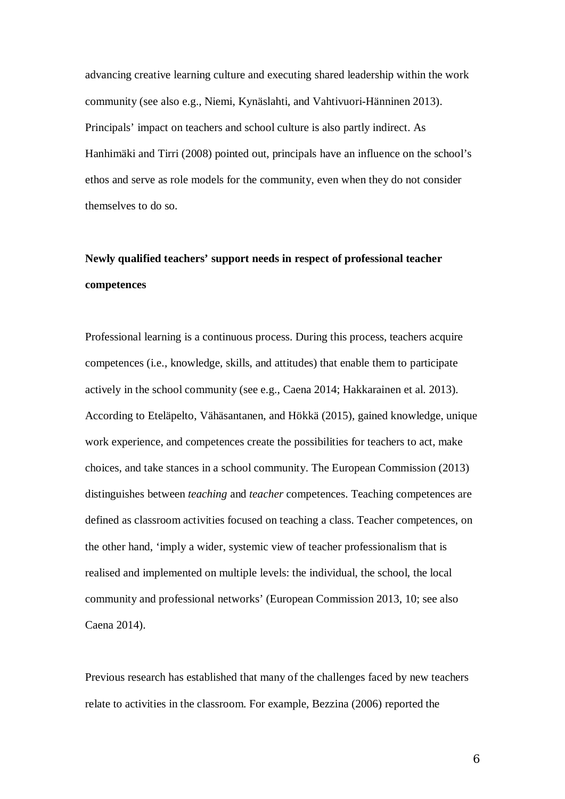advancing creative learning culture and executing shared leadership within the work community (see also e.g., Niemi, Kynäslahti, and Vahtivuori-Hänninen 2013). Principals' impact on teachers and school culture is also partly indirect. As Hanhimäki and Tirri (2008) pointed out, principals have an influence on the school's ethos and serve as role models for the community, even when they do not consider themselves to do so.

# **Newly qualified teachers' support needs in respect of professional teacher competences**

Professional learning is a continuous process. During this process, teachers acquire competences (i.e., knowledge, skills, and attitudes) that enable them to participate actively in the school community (see e.g., Caena 2014; Hakkarainen et al. 2013). According to Eteläpelto, Vähäsantanen, and Hökkä (2015), gained knowledge, unique work experience, and competences create the possibilities for teachers to act, make choices, and take stances in a school community. The European Commission (2013) distinguishes between *teaching* and *teacher* competences. Teaching competences are defined as classroom activities focused on teaching a class. Teacher competences, on the other hand, 'imply a wider, systemic view of teacher professionalism that is realised and implemented on multiple levels: the individual, the school, the local community and professional networks' (European Commission 2013, 10; see also Caena 2014).

Previous research has established that many of the challenges faced by new teachers relate to activities in the classroom. For example, Bezzina (2006) reported the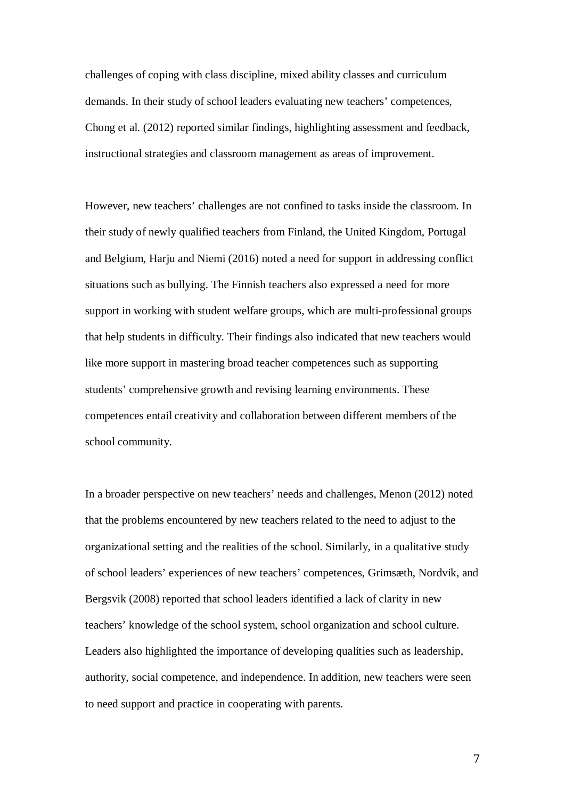challenges of coping with class discipline, mixed ability classes and curriculum demands. In their study of school leaders evaluating new teachers' competences, Chong et al. (2012) reported similar findings, highlighting assessment and feedback, instructional strategies and classroom management as areas of improvement.

However, new teachers' challenges are not confined to tasks inside the classroom. In their study of newly qualified teachers from Finland, the United Kingdom, Portugal and Belgium, Harju and Niemi (2016) noted a need for support in addressing conflict situations such as bullying. The Finnish teachers also expressed a need for more support in working with student welfare groups, which are multi-professional groups that help students in difficulty. Their findings also indicated that new teachers would like more support in mastering broad teacher competences such as supporting students' comprehensive growth and revising learning environments. These competences entail creativity and collaboration between different members of the school community.

In a broader perspective on new teachers' needs and challenges, Menon (2012) noted that the problems encountered by new teachers related to the need to adjust to the organizational setting and the realities of the school. Similarly, in a qualitative study of school leaders' experiences of new teachers' competences, Grimsæth, Nordvik, and Bergsvik (2008) reported that school leaders identified a lack of clarity in new teachers' knowledge of the school system, school organization and school culture. Leaders also highlighted the importance of developing qualities such as leadership, authority, social competence, and independence. In addition, new teachers were seen to need support and practice in cooperating with parents.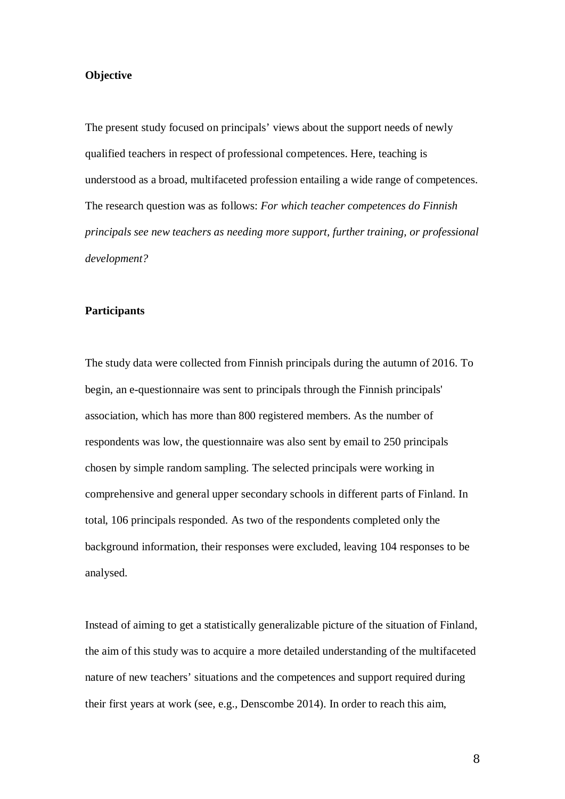### **Objective**

The present study focused on principals' views about the support needs of newly qualified teachers in respect of professional competences. Here, teaching is understood as a broad, multifaceted profession entailing a wide range of competences. The research question was as follows: *For which teacher competences do Finnish principals see new teachers as needing more support, further training, or professional development?*

#### **Participants**

The study data were collected from Finnish principals during the autumn of 2016. To begin, an e-questionnaire was sent to principals through the Finnish principals' association, which has more than 800 registered members. As the number of respondents was low, the questionnaire was also sent by email to 250 principals chosen by simple random sampling. The selected principals were working in comprehensive and general upper secondary schools in different parts of Finland. In total, 106 principals responded. As two of the respondents completed only the background information, their responses were excluded, leaving 104 responses to be analysed.

Instead of aiming to get a statistically generalizable picture of the situation of Finland, the aim of this study was to acquire a more detailed understanding of the multifaceted nature of new teachers' situations and the competences and support required during their first years at work (see, e.g., Denscombe 2014). In order to reach this aim,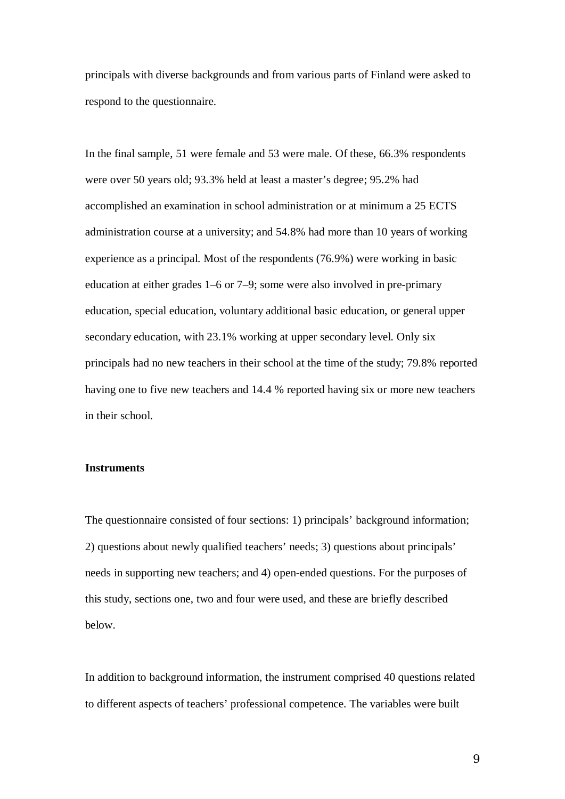principals with diverse backgrounds and from various parts of Finland were asked to respond to the questionnaire.

In the final sample, 51 were female and 53 were male. Of these, 66.3% respondents were over 50 years old; 93.3% held at least a master's degree; 95.2% had accomplished an examination in school administration or at minimum a 25 ECTS administration course at a university; and 54.8% had more than 10 years of working experience as a principal. Most of the respondents (76.9%) were working in basic education at either grades 1–6 or 7–9; some were also involved in pre-primary education, special education, voluntary additional basic education, or general upper secondary education, with 23.1% working at upper secondary level. Only six principals had no new teachers in their school at the time of the study; 79.8% reported having one to five new teachers and 14.4 % reported having six or more new teachers in their school.

## **Instruments**

The questionnaire consisted of four sections: 1) principals' background information; 2) questions about newly qualified teachers' needs; 3) questions about principals' needs in supporting new teachers; and 4) open-ended questions. For the purposes of this study, sections one, two and four were used, and these are briefly described below.

In addition to background information, the instrument comprised 40 questions related to different aspects of teachers' professional competence. The variables were built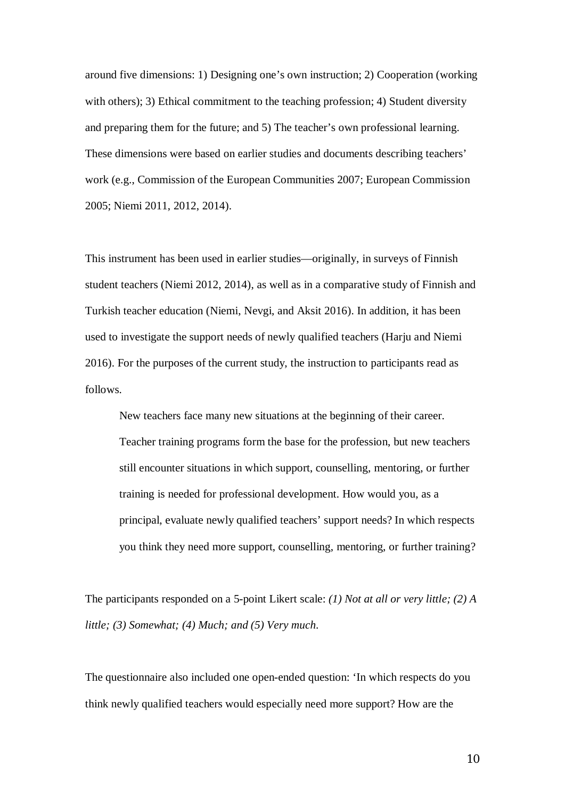around five dimensions: 1) Designing one's own instruction; 2) Cooperation (working with others); 3) Ethical commitment to the teaching profession; 4) Student diversity and preparing them for the future; and 5) The teacher's own professional learning. These dimensions were based on earlier studies and documents describing teachers' work (e.g., Commission of the European Communities 2007; European Commission 2005; Niemi 2011, 2012, 2014).

This instrument has been used in earlier studies—originally, in surveys of Finnish student teachers (Niemi 2012, 2014), as well as in a comparative study of Finnish and Turkish teacher education (Niemi, Nevgi, and Aksit 2016). In addition, it has been used to investigate the support needs of newly qualified teachers (Harju and Niemi 2016). For the purposes of the current study, the instruction to participants read as follows.

New teachers face many new situations at the beginning of their career. Teacher training programs form the base for the profession, but new teachers still encounter situations in which support, counselling, mentoring, or further training is needed for professional development. How would you, as a principal, evaluate newly qualified teachers' support needs? In which respects you think they need more support, counselling, mentoring, or further training?

The participants responded on a 5-point Likert scale: *(1) Not at all or very little; (2) A little; (3) Somewhat; (4) Much; and (5) Very much*.

The questionnaire also included one open-ended question: 'In which respects do you think newly qualified teachers would especially need more support? How are the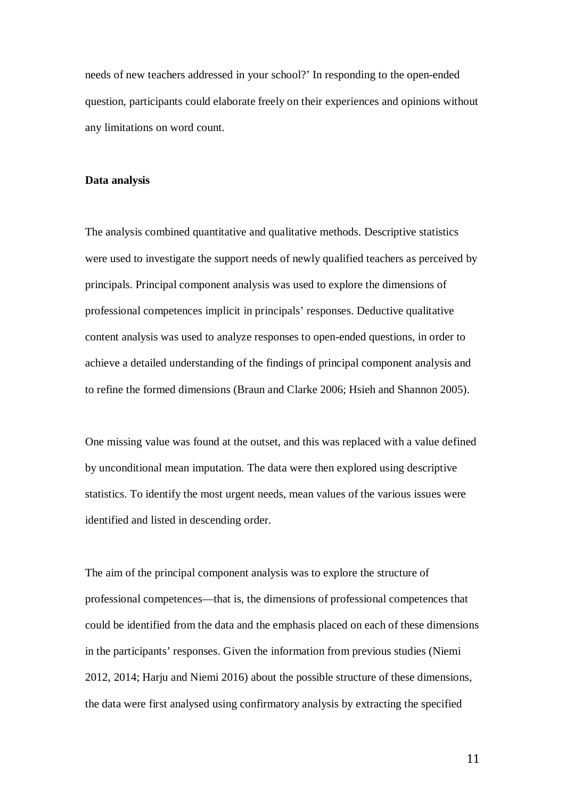needs of new teachers addressed in your school?' In responding to the open-ended question, participants could elaborate freely on their experiences and opinions without any limitations on word count.

#### **Data analysis**

The analysis combined quantitative and qualitative methods. Descriptive statistics were used to investigate the support needs of newly qualified teachers as perceived by principals. Principal component analysis was used to explore the dimensions of professional competences implicit in principals' responses. Deductive qualitative content analysis was used to analyze responses to open-ended questions, in order to achieve a detailed understanding of the findings of principal component analysis and to refine the formed dimensions (Braun and Clarke 2006; Hsieh and Shannon 2005).

One missing value was found at the outset, and this was replaced with a value defined by unconditional mean imputation. The data were then explored using descriptive statistics. To identify the most urgent needs, mean values of the various issues were identified and listed in descending order.

The aim of the principal component analysis was to explore the structure of professional competences—that is, the dimensions of professional competences that could be identified from the data and the emphasis placed on each of these dimensions in the participants' responses. Given the information from previous studies (Niemi 2012, 2014; Harju and Niemi 2016) about the possible structure of these dimensions, the data were first analysed using confirmatory analysis by extracting the specified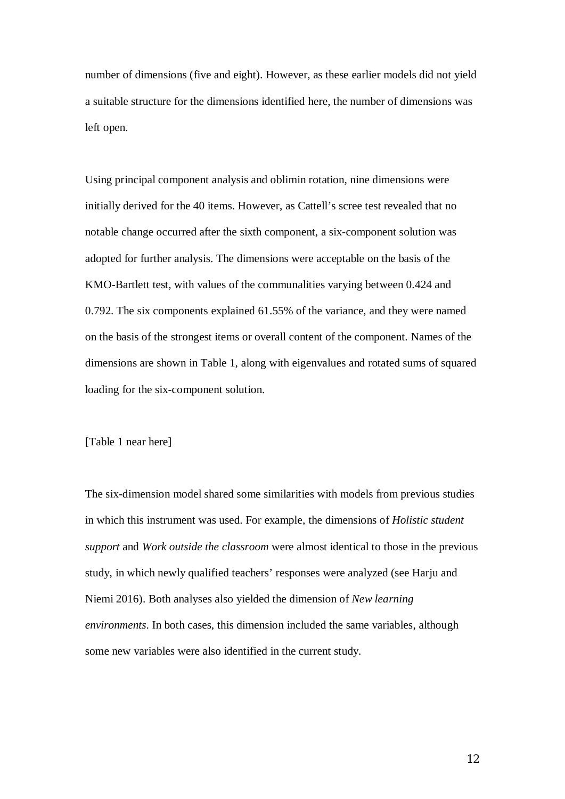number of dimensions (five and eight). However, as these earlier models did not yield a suitable structure for the dimensions identified here, the number of dimensions was left open.

Using principal component analysis and oblimin rotation, nine dimensions were initially derived for the 40 items. However, as Cattell's scree test revealed that no notable change occurred after the sixth component, a six-component solution was adopted for further analysis. The dimensions were acceptable on the basis of the KMO-Bartlett test, with values of the communalities varying between 0.424 and 0.792. The six components explained 61.55% of the variance, and they were named on the basis of the strongest items or overall content of the component. Names of the dimensions are shown in Table 1, along with eigenvalues and rotated sums of squared loading for the six-component solution.

## [Table 1 near here]

The six-dimension model shared some similarities with models from previous studies in which this instrument was used. For example, the dimensions of *Holistic student support* and *Work outside the classroom* were almost identical to those in the previous study, in which newly qualified teachers' responses were analyzed (see Harju and Niemi 2016). Both analyses also yielded the dimension of *New learning environments*. In both cases, this dimension included the same variables, although some new variables were also identified in the current study.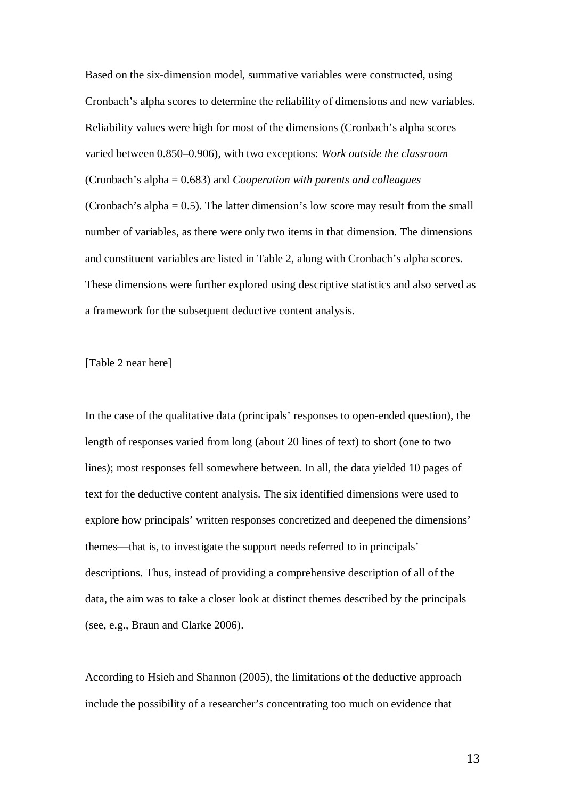Based on the six-dimension model, summative variables were constructed, using Cronbach's alpha scores to determine the reliability of dimensions and new variables. Reliability values were high for most of the dimensions (Cronbach's alpha scores varied between 0.850–0.906), with two exceptions: *Work outside the classroom* (Cronbach's alpha = 0.683) and *Cooperation with parents and colleagues* (Cronbach's alpha  $= 0.5$ ). The latter dimension's low score may result from the small number of variables, as there were only two items in that dimension. The dimensions and constituent variables are listed in Table 2, along with Cronbach's alpha scores. These dimensions were further explored using descriptive statistics and also served as a framework for the subsequent deductive content analysis.

[Table 2 near here]

In the case of the qualitative data (principals' responses to open-ended question), the length of responses varied from long (about 20 lines of text) to short (one to two lines); most responses fell somewhere between. In all, the data yielded 10 pages of text for the deductive content analysis. The six identified dimensions were used to explore how principals' written responses concretized and deepened the dimensions' themes—that is, to investigate the support needs referred to in principals' descriptions. Thus, instead of providing a comprehensive description of all of the data, the aim was to take a closer look at distinct themes described by the principals (see, e.g., Braun and Clarke 2006).

According to Hsieh and Shannon (2005), the limitations of the deductive approach include the possibility of a researcher's concentrating too much on evidence that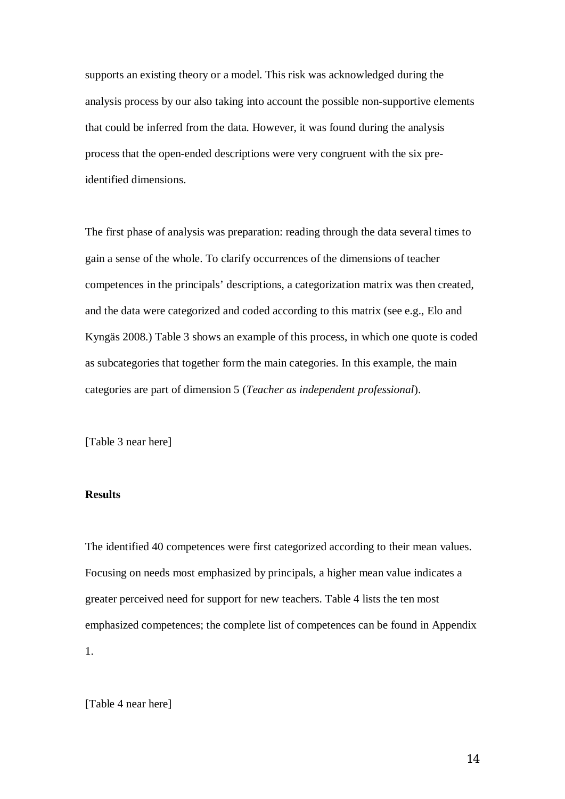supports an existing theory or a model. This risk was acknowledged during the analysis process by our also taking into account the possible non-supportive elements that could be inferred from the data. However, it was found during the analysis process that the open-ended descriptions were very congruent with the six preidentified dimensions.

The first phase of analysis was preparation: reading through the data several times to gain a sense of the whole. To clarify occurrences of the dimensions of teacher competences in the principals' descriptions, a categorization matrix was then created, and the data were categorized and coded according to this matrix (see e.g., Elo and Kyngäs 2008.) Table 3 shows an example of this process, in which one quote is coded as subcategories that together form the main categories. In this example, the main categories are part of dimension 5 (*Teacher as independent professional*).

[Table 3 near here]

# **Results**

The identified 40 competences were first categorized according to their mean values. Focusing on needs most emphasized by principals, a higher mean value indicates a greater perceived need for support for new teachers. Table 4 lists the ten most emphasized competences; the complete list of competences can be found in Appendix 1.

[Table 4 near here]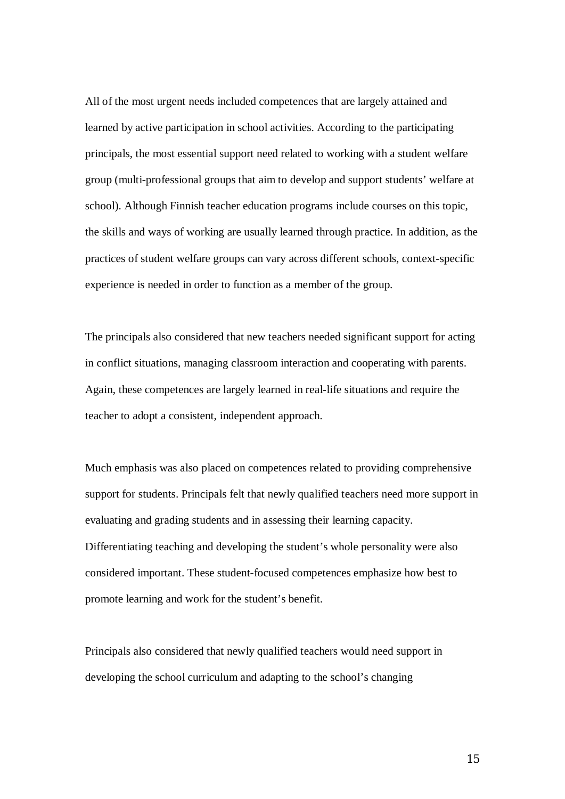All of the most urgent needs included competences that are largely attained and learned by active participation in school activities. According to the participating principals, the most essential support need related to working with a student welfare group (multi-professional groups that aim to develop and support students' welfare at school). Although Finnish teacher education programs include courses on this topic, the skills and ways of working are usually learned through practice. In addition, as the practices of student welfare groups can vary across different schools, context-specific experience is needed in order to function as a member of the group.

The principals also considered that new teachers needed significant support for acting in conflict situations, managing classroom interaction and cooperating with parents. Again, these competences are largely learned in real-life situations and require the teacher to adopt a consistent, independent approach.

Much emphasis was also placed on competences related to providing comprehensive support for students. Principals felt that newly qualified teachers need more support in evaluating and grading students and in assessing their learning capacity. Differentiating teaching and developing the student's whole personality were also considered important. These student-focused competences emphasize how best to promote learning and work for the student's benefit.

Principals also considered that newly qualified teachers would need support in developing the school curriculum and adapting to the school's changing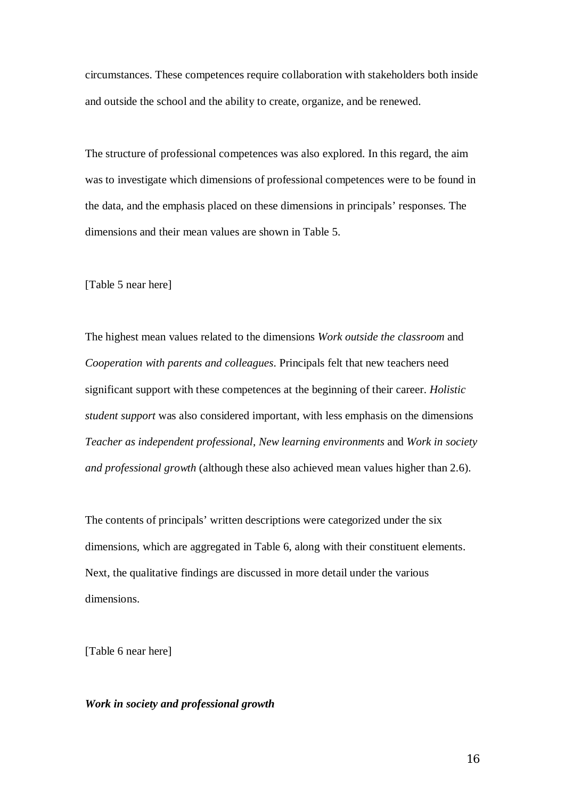circumstances. These competences require collaboration with stakeholders both inside and outside the school and the ability to create, organize, and be renewed.

The structure of professional competences was also explored. In this regard, the aim was to investigate which dimensions of professional competences were to be found in the data, and the emphasis placed on these dimensions in principals' responses. The dimensions and their mean values are shown in Table 5.

[Table 5 near here]

The highest mean values related to the dimensions *Work outside the classroom* and *Cooperation with parents and colleagues*. Principals felt that new teachers need significant support with these competences at the beginning of their career. *Holistic student support* was also considered important, with less emphasis on the dimensions *Teacher as independent professional*, *New learning environments* and *Work in society and professional growth* (although these also achieved mean values higher than 2.6).

The contents of principals' written descriptions were categorized under the six dimensions, which are aggregated in Table 6, along with their constituent elements. Next, the qualitative findings are discussed in more detail under the various dimensions.

[Table 6 near here]

## *Work in society and professional growth*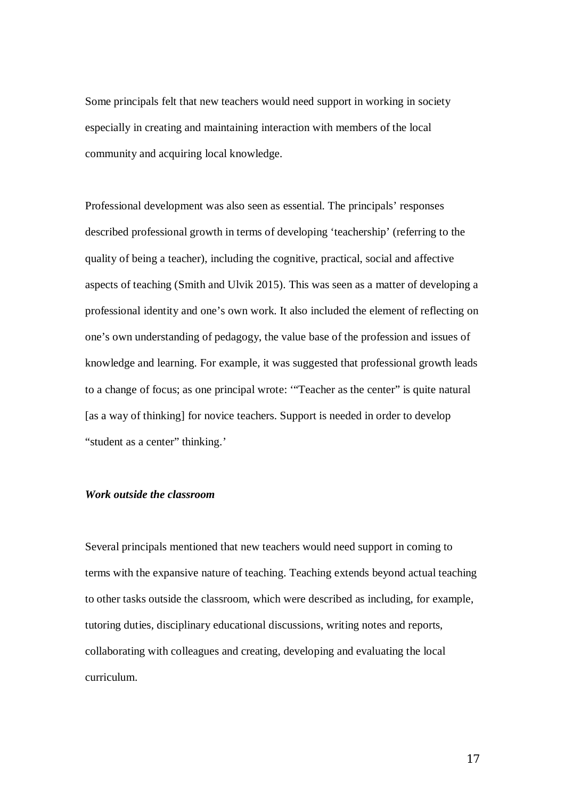Some principals felt that new teachers would need support in working in society especially in creating and maintaining interaction with members of the local community and acquiring local knowledge.

Professional development was also seen as essential. The principals' responses described professional growth in terms of developing 'teachership' (referring to the quality of being a teacher), including the cognitive, practical, social and affective aspects of teaching (Smith and Ulvik 2015). This was seen as a matter of developing a professional identity and one's own work. It also included the element of reflecting on one's own understanding of pedagogy, the value base of the profession and issues of knowledge and learning. For example, it was suggested that professional growth leads to a change of focus; as one principal wrote: '"Teacher as the center" is quite natural [as a way of thinking] for novice teachers. Support is needed in order to develop "student as a center" thinking."

# *Work outside the classroom*

Several principals mentioned that new teachers would need support in coming to terms with the expansive nature of teaching. Teaching extends beyond actual teaching to other tasks outside the classroom, which were described as including, for example, tutoring duties, disciplinary educational discussions, writing notes and reports, collaborating with colleagues and creating, developing and evaluating the local curriculum.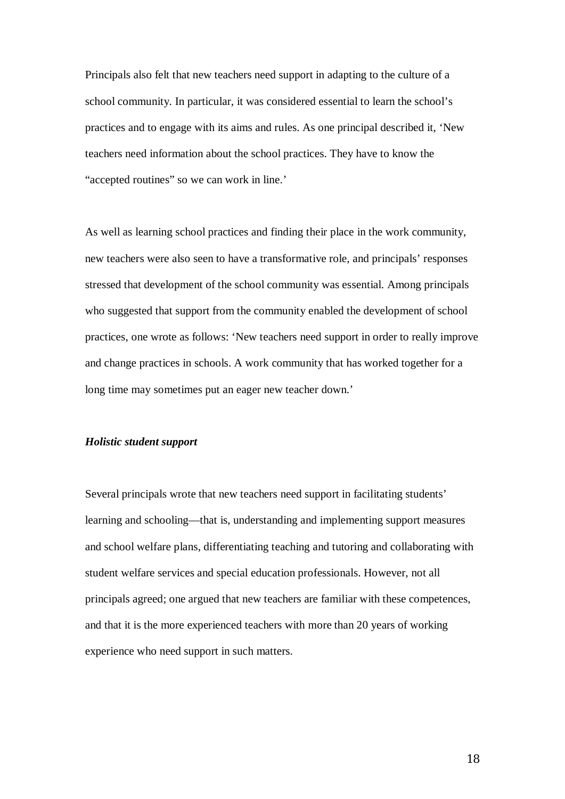Principals also felt that new teachers need support in adapting to the culture of a school community. In particular, it was considered essential to learn the school's practices and to engage with its aims and rules. As one principal described it, 'New teachers need information about the school practices. They have to know the "accepted routines" so we can work in line."

As well as learning school practices and finding their place in the work community, new teachers were also seen to have a transformative role, and principals' responses stressed that development of the school community was essential. Among principals who suggested that support from the community enabled the development of school practices, one wrote as follows: 'New teachers need support in order to really improve and change practices in schools. A work community that has worked together for a long time may sometimes put an eager new teacher down.'

### *Holistic student support*

Several principals wrote that new teachers need support in facilitating students' learning and schooling—that is, understanding and implementing support measures and school welfare plans, differentiating teaching and tutoring and collaborating with student welfare services and special education professionals. However, not all principals agreed; one argued that new teachers are familiar with these competences, and that it is the more experienced teachers with more than 20 years of working experience who need support in such matters.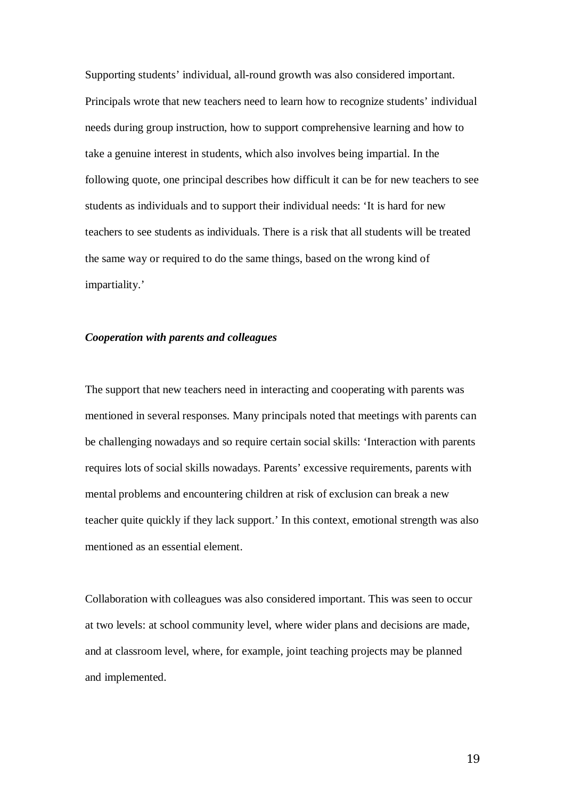Supporting students' individual, all-round growth was also considered important. Principals wrote that new teachers need to learn how to recognize students' individual needs during group instruction, how to support comprehensive learning and how to take a genuine interest in students, which also involves being impartial. In the following quote, one principal describes how difficult it can be for new teachers to see students as individuals and to support their individual needs: 'It is hard for new teachers to see students as individuals. There is a risk that all students will be treated the same way or required to do the same things, based on the wrong kind of impartiality.'

### *Cooperation with parents and colleagues*

The support that new teachers need in interacting and cooperating with parents was mentioned in several responses. Many principals noted that meetings with parents can be challenging nowadays and so require certain social skills: 'Interaction with parents requires lots of social skills nowadays. Parents' excessive requirements, parents with mental problems and encountering children at risk of exclusion can break a new teacher quite quickly if they lack support.' In this context, emotional strength was also mentioned as an essential element.

Collaboration with colleagues was also considered important. This was seen to occur at two levels: at school community level, where wider plans and decisions are made, and at classroom level, where, for example, joint teaching projects may be planned and implemented.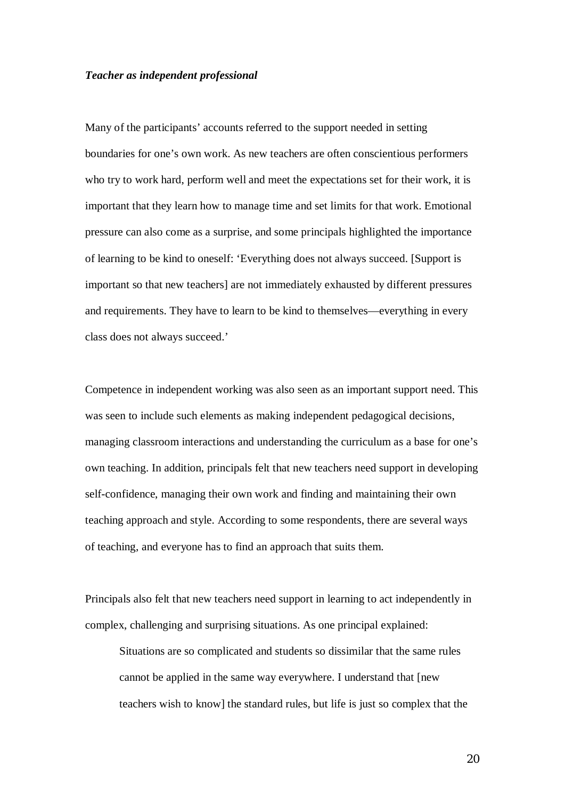#### *Teacher as independent professional*

Many of the participants' accounts referred to the support needed in setting boundaries for one's own work. As new teachers are often conscientious performers who try to work hard, perform well and meet the expectations set for their work, it is important that they learn how to manage time and set limits for that work. Emotional pressure can also come as a surprise, and some principals highlighted the importance of learning to be kind to oneself: 'Everything does not always succeed. [Support is important so that new teachers] are not immediately exhausted by different pressures and requirements. They have to learn to be kind to themselves—everything in every class does not always succeed.'

Competence in independent working was also seen as an important support need. This was seen to include such elements as making independent pedagogical decisions, managing classroom interactions and understanding the curriculum as a base for one's own teaching. In addition, principals felt that new teachers need support in developing self-confidence, managing their own work and finding and maintaining their own teaching approach and style. According to some respondents, there are several ways of teaching, and everyone has to find an approach that suits them.

Principals also felt that new teachers need support in learning to act independently in complex, challenging and surprising situations. As one principal explained:

Situations are so complicated and students so dissimilar that the same rules cannot be applied in the same way everywhere. I understand that [new teachers wish to know] the standard rules, but life is just so complex that the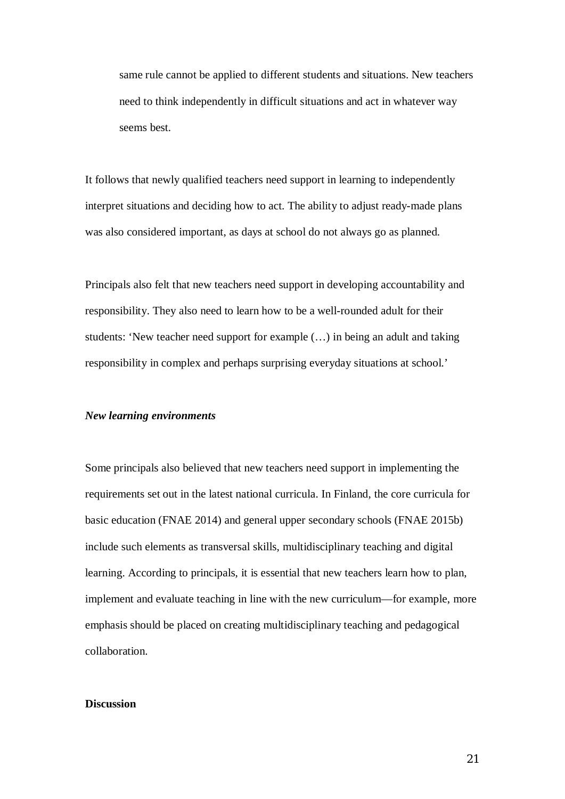same rule cannot be applied to different students and situations. New teachers need to think independently in difficult situations and act in whatever way seems best.

It follows that newly qualified teachers need support in learning to independently interpret situations and deciding how to act. The ability to adjust ready-made plans was also considered important, as days at school do not always go as planned.

Principals also felt that new teachers need support in developing accountability and responsibility. They also need to learn how to be a well-rounded adult for their students: 'New teacher need support for example (…) in being an adult and taking responsibility in complex and perhaps surprising everyday situations at school.'

#### *New learning environments*

Some principals also believed that new teachers need support in implementing the requirements set out in the latest national curricula. In Finland, the core curricula for basic education (FNAE 2014) and general upper secondary schools (FNAE 2015b) include such elements as transversal skills, multidisciplinary teaching and digital learning. According to principals, it is essential that new teachers learn how to plan, implement and evaluate teaching in line with the new curriculum—for example, more emphasis should be placed on creating multidisciplinary teaching and pedagogical collaboration.

# **Discussion**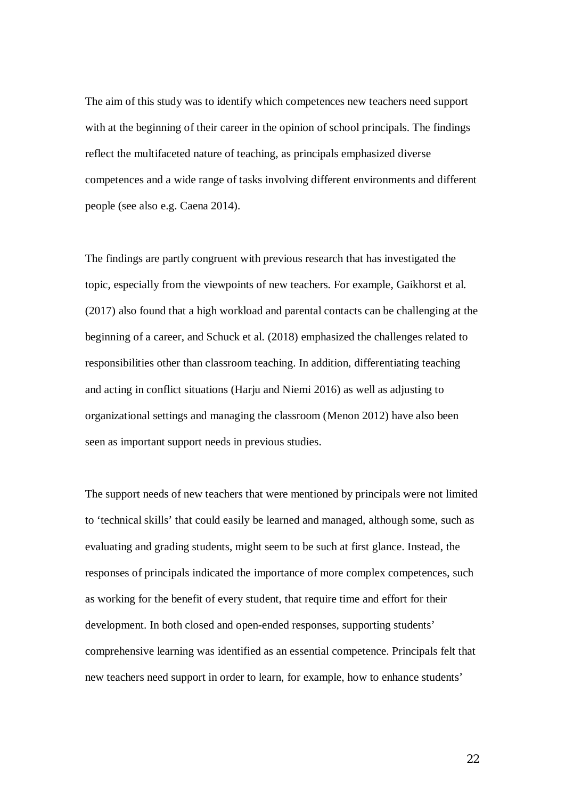The aim of this study was to identify which competences new teachers need support with at the beginning of their career in the opinion of school principals. The findings reflect the multifaceted nature of teaching, as principals emphasized diverse competences and a wide range of tasks involving different environments and different people (see also e.g. Caena 2014).

The findings are partly congruent with previous research that has investigated the topic, especially from the viewpoints of new teachers. For example, Gaikhorst et al. (2017) also found that a high workload and parental contacts can be challenging at the beginning of a career, and Schuck et al. (2018) emphasized the challenges related to responsibilities other than classroom teaching. In addition, differentiating teaching and acting in conflict situations (Harju and Niemi 2016) as well as adjusting to organizational settings and managing the classroom (Menon 2012) have also been seen as important support needs in previous studies.

The support needs of new teachers that were mentioned by principals were not limited to 'technical skills' that could easily be learned and managed, although some, such as evaluating and grading students, might seem to be such at first glance. Instead, the responses of principals indicated the importance of more complex competences, such as working for the benefit of every student, that require time and effort for their development. In both closed and open-ended responses, supporting students' comprehensive learning was identified as an essential competence. Principals felt that new teachers need support in order to learn, for example, how to enhance students'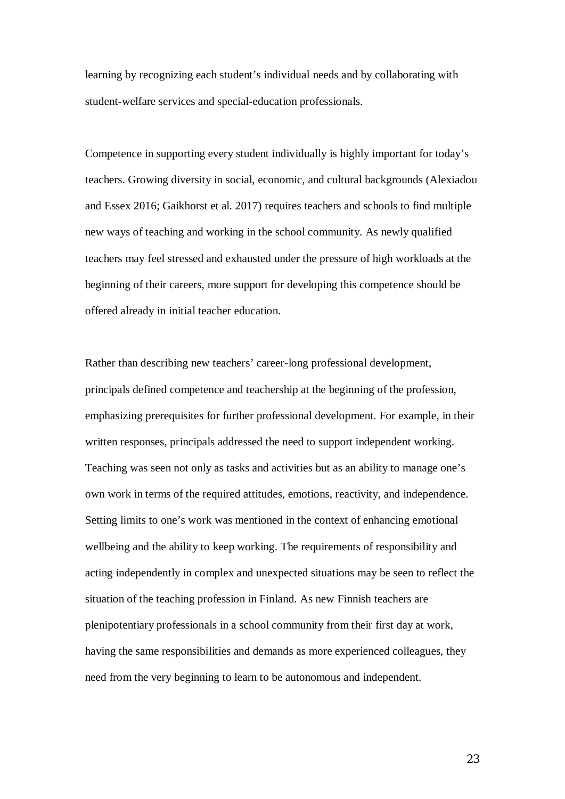learning by recognizing each student's individual needs and by collaborating with student-welfare services and special-education professionals.

Competence in supporting every student individually is highly important for today's teachers. Growing diversity in social, economic, and cultural backgrounds (Alexiadou and Essex 2016; Gaikhorst et al. 2017) requires teachers and schools to find multiple new ways of teaching and working in the school community. As newly qualified teachers may feel stressed and exhausted under the pressure of high workloads at the beginning of their careers, more support for developing this competence should be offered already in initial teacher education.

Rather than describing new teachers' career-long professional development, principals defined competence and teachership at the beginning of the profession, emphasizing prerequisites for further professional development. For example, in their written responses, principals addressed the need to support independent working. Teaching was seen not only as tasks and activities but as an ability to manage one's own work in terms of the required attitudes, emotions, reactivity, and independence. Setting limits to one's work was mentioned in the context of enhancing emotional wellbeing and the ability to keep working. The requirements of responsibility and acting independently in complex and unexpected situations may be seen to reflect the situation of the teaching profession in Finland. As new Finnish teachers are plenipotentiary professionals in a school community from their first day at work, having the same responsibilities and demands as more experienced colleagues, they need from the very beginning to learn to be autonomous and independent.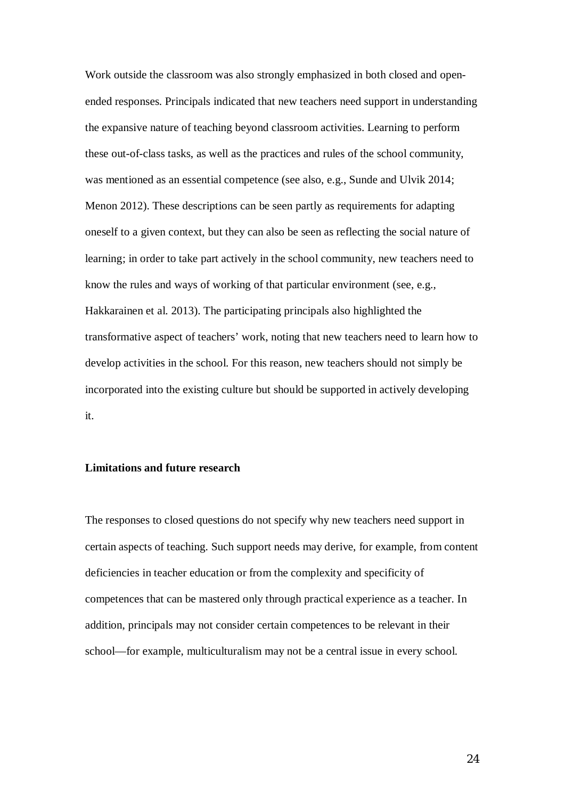Work outside the classroom was also strongly emphasized in both closed and openended responses. Principals indicated that new teachers need support in understanding the expansive nature of teaching beyond classroom activities. Learning to perform these out-of-class tasks, as well as the practices and rules of the school community, was mentioned as an essential competence (see also, e.g., Sunde and Ulvik 2014; Menon 2012). These descriptions can be seen partly as requirements for adapting oneself to a given context, but they can also be seen as reflecting the social nature of learning; in order to take part actively in the school community, new teachers need to know the rules and ways of working of that particular environment (see, e.g., Hakkarainen et al. 2013). The participating principals also highlighted the transformative aspect of teachers' work, noting that new teachers need to learn how to develop activities in the school. For this reason, new teachers should not simply be incorporated into the existing culture but should be supported in actively developing it.

# **Limitations and future research**

The responses to closed questions do not specify why new teachers need support in certain aspects of teaching. Such support needs may derive, for example, from content deficiencies in teacher education or from the complexity and specificity of competences that can be mastered only through practical experience as a teacher. In addition, principals may not consider certain competences to be relevant in their school—for example, multiculturalism may not be a central issue in every school.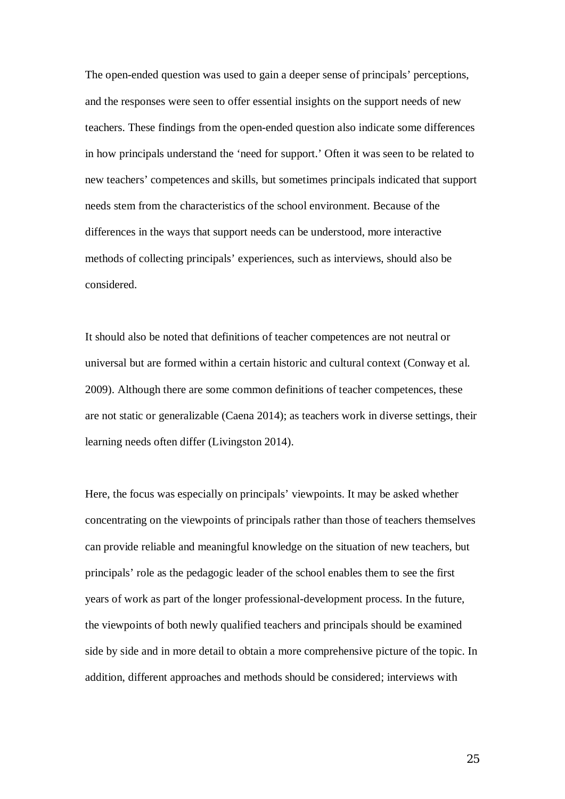The open-ended question was used to gain a deeper sense of principals' perceptions, and the responses were seen to offer essential insights on the support needs of new teachers. These findings from the open-ended question also indicate some differences in how principals understand the 'need for support.' Often it was seen to be related to new teachers' competences and skills, but sometimes principals indicated that support needs stem from the characteristics of the school environment. Because of the differences in the ways that support needs can be understood, more interactive methods of collecting principals' experiences, such as interviews, should also be considered.

It should also be noted that definitions of teacher competences are not neutral or universal but are formed within a certain historic and cultural context (Conway et al. 2009). Although there are some common definitions of teacher competences, these are not static or generalizable (Caena 2014); as teachers work in diverse settings, their learning needs often differ (Livingston 2014).

Here, the focus was especially on principals' viewpoints. It may be asked whether concentrating on the viewpoints of principals rather than those of teachers themselves can provide reliable and meaningful knowledge on the situation of new teachers, but principals' role as the pedagogic leader of the school enables them to see the first years of work as part of the longer professional-development process. In the future, the viewpoints of both newly qualified teachers and principals should be examined side by side and in more detail to obtain a more comprehensive picture of the topic. In addition, different approaches and methods should be considered; interviews with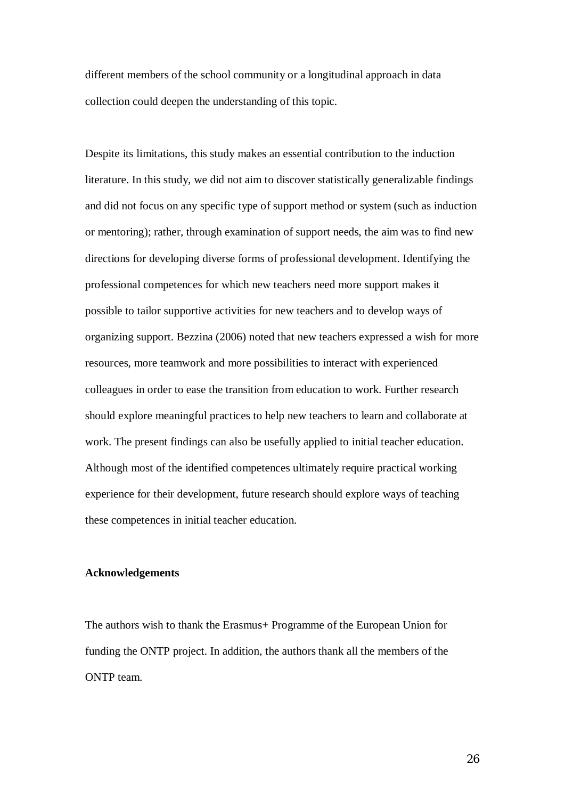different members of the school community or a longitudinal approach in data collection could deepen the understanding of this topic.

Despite its limitations, this study makes an essential contribution to the induction literature. In this study, we did not aim to discover statistically generalizable findings and did not focus on any specific type of support method or system (such as induction or mentoring); rather, through examination of support needs, the aim was to find new directions for developing diverse forms of professional development. Identifying the professional competences for which new teachers need more support makes it possible to tailor supportive activities for new teachers and to develop ways of organizing support. Bezzina (2006) noted that new teachers expressed a wish for more resources, more teamwork and more possibilities to interact with experienced colleagues in order to ease the transition from education to work. Further research should explore meaningful practices to help new teachers to learn and collaborate at work. The present findings can also be usefully applied to initial teacher education. Although most of the identified competences ultimately require practical working experience for their development, future research should explore ways of teaching these competences in initial teacher education.

# **Acknowledgements**

The authors wish to thank the Erasmus+ Programme of the European Union for funding the ONTP project. In addition, the authors thank all the members of the ONTP team.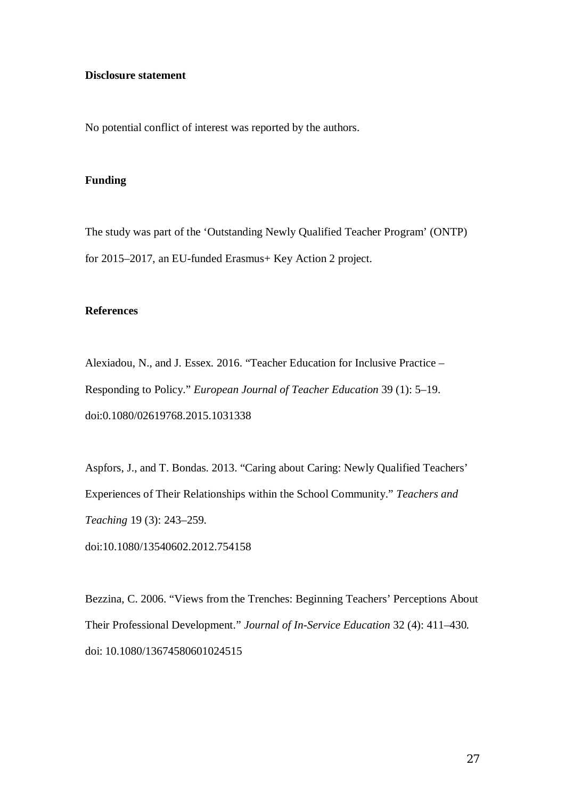## **Disclosure statement**

No potential conflict of interest was reported by the authors.

#### **Funding**

The study was part of the 'Outstanding Newly Qualified Teacher Program' (ONTP) for 2015–2017, an EU-funded Erasmus+ Key Action 2 project.

## **References**

Alexiadou, N., and J. Essex. 2016. "Teacher Education for Inclusive Practice – Responding to Policy." *European Journal of Teacher Education* 39 (1): 5–19. doi:0.1080/02619768.2015.1031338

Aspfors, J., and T. Bondas. 2013. "Caring about Caring: Newly Qualified Teachers' Experiences of Their Relationships within the School Community." *Teachers and Teaching* 19 (3): 243–259.

doi:10.1080/13540602.2012.754158

Bezzina, C. 2006. "Views from the Trenches: Beginning Teachers' Perceptions About Their Professional Development." *Journal of In-Service Education* 32 (4): 411–430*.* doi: 10.1080/13674580601024515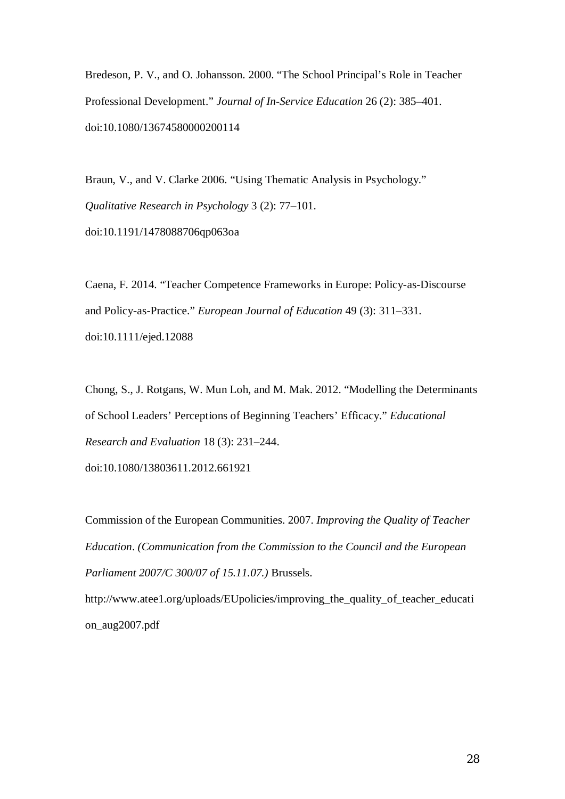Bredeson, P. V., and O. Johansson. 2000. "The School Principal's Role in Teacher Professional Development." *Journal of In-Service Education* 26 (2): 385–401. doi:10.1080/13674580000200114

Braun, V., and V. Clarke 2006. "Using Thematic Analysis in Psychology." *Qualitative Research in Psychology* 3 (2): 77–101. doi:10.1191/1478088706qp063oa

Caena, F. 2014. "Teacher Competence Frameworks in Europe: Policy-as-Discourse and Policy-as-Practice." *European Journal of Education* 49 (3): 311–331. doi:10.1111/ejed.12088

Chong, S., J. Rotgans, W. Mun Loh, and M. Mak. 2012. "Modelling the Determinants of School Leaders' Perceptions of Beginning Teachers' Efficacy." *Educational Research and Evaluation* 18 (3): 231–244.

doi:10.1080/13803611.2012.661921

Commission of the European Communities. 2007. *Improving the Quality of Teacher Education*. *(Communication from the Commission to the Council and the European Parliament 2007/C 300/07 of 15.11.07.)* Brussels.

http://www.atee1.org/uploads/EUpolicies/improving\_the\_quality\_of\_teacher\_educati on\_aug2007.pdf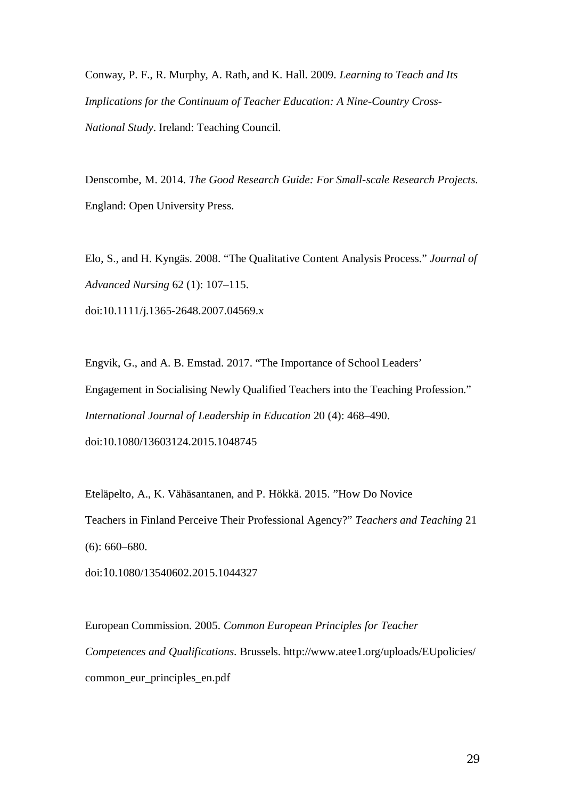Conway, P. F., R. Murphy, A. Rath, and K. Hall. 2009. *Learning to Teach and Its Implications for the Continuum of Teacher Education: A Nine-Country Cross-National Study*. Ireland: Teaching Council.

Denscombe, M. 2014. *The Good Research Guide: For Small-scale Research Projects*. England: Open University Press.

Elo, S., and H. Kyngäs. 2008. "The Qualitative Content Analysis Process." *Journal of Advanced Nursing* 62 (1): 107–115. doi:10.1111/j.1365-2648.2007.04569.x

Engvik, G., and A. B. Emstad. 2017. "The Importance of School Leaders' Engagement in Socialising Newly Qualified Teachers into the Teaching Profession." *International Journal of Leadership in Education* 20 (4): 468–490. doi:10.1080/13603124.2015.1048745

Eteläpelto, A., K. Vähäsantanen, and P. Hökkä. 2015. "How Do Novice Teachers in Finland Perceive Their Professional Agency?" *Teachers and Teaching* 21 (6): 660–680.

doi:10.1080/13540602.2015.1044327

European Commission. 2005. *Common European Principles for Teacher Competences and Qualifications*. Brussels. http://www.atee1.org/uploads/EUpolicies/ common\_eur\_principles\_en.pdf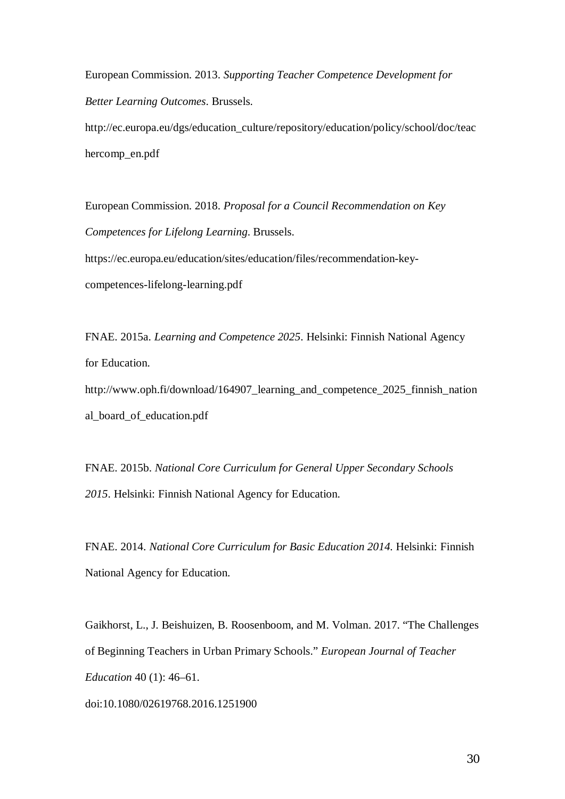European Commission. 2013. *Supporting Teacher Competence Development for Better Learning Outcomes*. Brussels.

http://ec.europa.eu/dgs/education\_culture/repository/education/policy/school/doc/teac hercomp\_en.pdf

European Commission. 2018. *Proposal for a Council Recommendation on Key Competences for Lifelong Learning*. Brussels. https://ec.europa.eu/education/sites/education/files/recommendation-key-

competences-lifelong-learning.pdf

FNAE. 2015a. *Learning and Competence 2025*. Helsinki: Finnish National Agency for Education. http://www.oph.fi/download/164907\_learning\_and\_competence\_2025\_finnish\_nation

al\_board\_of\_education.pdf

FNAE. 2015b. *National Core Curriculum for General Upper Secondary Schools 2015*. Helsinki: Finnish National Agency for Education.

FNAE. 2014. *National Core Curriculum for Basic Education 2014*. Helsinki: Finnish National Agency for Education.

Gaikhorst, L., J. Beishuizen, B. Roosenboom, and M. Volman. 2017. "The Challenges of Beginning Teachers in Urban Primary Schools." *European Journal of Teacher Education* 40 (1): 46–61.

doi:10.1080/02619768.2016.1251900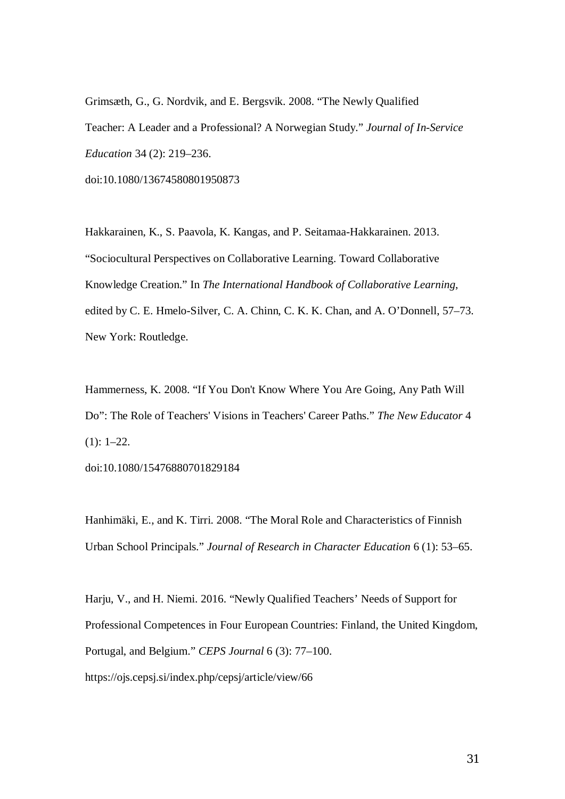Grimsæth, G., G. Nordvik, and E. Bergsvik. 2008. "The Newly Qualified Teacher: A Leader and a Professional? A Norwegian Study." *Journal of In-Service Education* 34 (2): 219–236. doi:10.1080/13674580801950873

Hakkarainen, K., S. Paavola, K. Kangas, and P. Seitamaa-Hakkarainen. 2013. "Sociocultural Perspectives on Collaborative Learning. Toward Collaborative Knowledge Creation." In *The International Handbook of Collaborative Learning*, edited by C. E. Hmelo-Silver, C. A. Chinn, C. K. K. Chan, and A. O'Donnell, 57–73. New York: Routledge.

Hammerness, K. 2008. "If You Don't Know Where You Are Going, Any Path Will Do": The Role of Teachers' Visions in Teachers' Career Paths." *The New Educator* 4  $(1): 1-22.$ 

doi:10.1080/15476880701829184

Hanhimäki, E., and K. Tirri. 2008. "The Moral Role and Characteristics of Finnish Urban School Principals." *Journal of Research in Character Education* 6 (1): 53–65.

Harju, V., and H. Niemi. 2016. "Newly Qualified Teachers' Needs of Support for Professional Competences in Four European Countries: Finland, the United Kingdom, Portugal, and Belgium." *CEPS Journal* 6 (3): 77–100.

https://ojs.cepsj.si/index.php/cepsj/article/view/66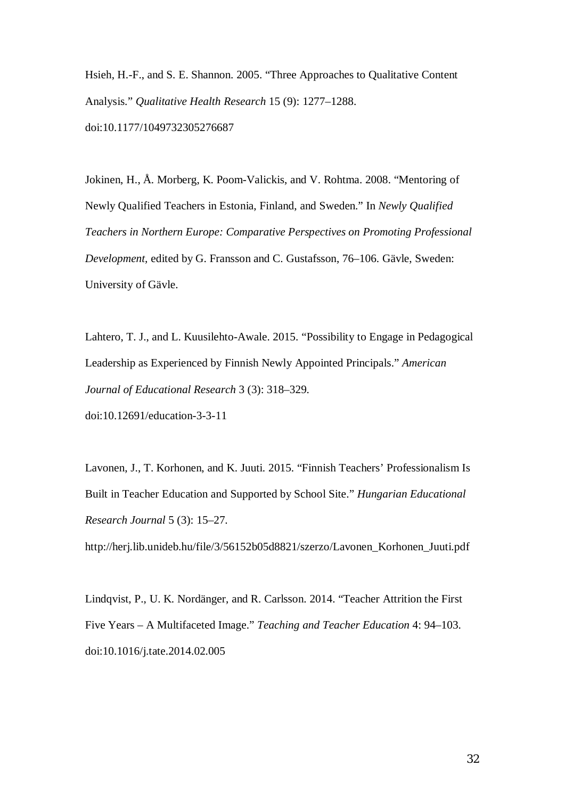Hsieh, H.-F., and S. E. Shannon. 2005. "Three Approaches to Qualitative Content Analysis." *Qualitative Health Research* 15 (9): 1277–1288. doi:10.1177/1049732305276687

Jokinen, H., Å. Morberg, K. Poom-Valickis, and V. Rohtma. 2008. "Mentoring of Newly Qualified Teachers in Estonia, Finland, and Sweden." In *Newly Qualified Teachers in Northern Europe: Comparative Perspectives on Promoting Professional Development,* edited by G. Fransson and C. Gustafsson, 76–106. Gävle, Sweden: University of Gävle.

Lahtero, T. J., and L. Kuusilehto-Awale. 2015. "Possibility to Engage in Pedagogical Leadership as Experienced by Finnish Newly Appointed Principals." *American Journal of Educational Research* 3 (3): 318–329. doi:10.12691/education-3-3-11

Lavonen, J., T. Korhonen, and K. Juuti. 2015. "Finnish Teachers' Professionalism Is Built in Teacher Education and Supported by School Site." *Hungarian Educational Research Journal* 5 (3): 15–27.

http://herj.lib.unideb.hu/file/3/56152b05d8821/szerzo/Lavonen\_Korhonen\_Juuti.pdf

Lindqvist, P., U. K. Nordänger, and R. Carlsson. 2014. "Teacher Attrition the First Five Years – A Multifaceted Image." *Teaching and Teacher Education* 4: 94–103. doi:10.1016/j.tate.2014.02.005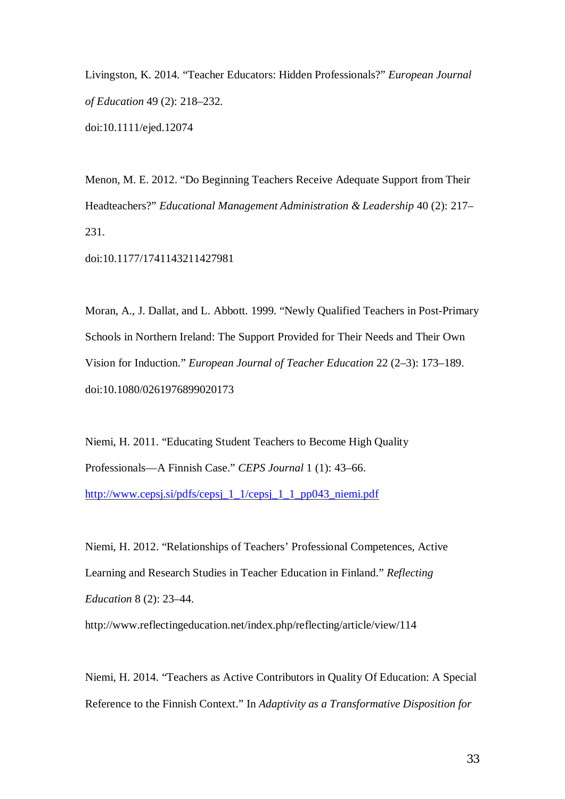Livingston, K. 2014. "Teacher Educators: Hidden Professionals?" *European Journal of Education* 49 (2): 218–232. doi:10.1111/ejed.12074

Menon, M. E. 2012. "Do Beginning Teachers Receive Adequate Support from Their Headteachers?" *Educational Management Administration & Leadership* 40 (2): 217– 231.

doi:10.1177/1741143211427981

Moran, A., J. Dallat, and L. Abbott. 1999. "Newly Qualified Teachers in Post-Primary Schools in Northern Ireland: The Support Provided for Their Needs and Their Own Vision for Induction." *European Journal of Teacher Education* 22 (2–3): 173–189. doi:10.1080/0261976899020173

Niemi, H. 2011. "Educating Student Teachers to Become High Quality Professionals—A Finnish Case." *CEPS Journal* 1 (1): 43–66. [http://www.cepsj.si/pdfs/cepsj\\_1\\_1/cepsj\\_1\\_1\\_pp043\\_niemi.pdf](http://www.cepsj.si/pdfs/cepsj_1_1/cepsj_1_1_pp043_niemi.pdf)

Niemi, H. 2012. "Relationships of Teachers' Professional Competences, Active Learning and Research Studies in Teacher Education in Finland." *Reflecting Education* 8 (2): 23–44.

http://www.reflectingeducation.net/index.php/reflecting/article/view/114

Niemi, H. 2014. "Teachers as Active Contributors in Quality Of Education: A Special Reference to the Finnish Context." In *Adaptivity as a Transformative Disposition for*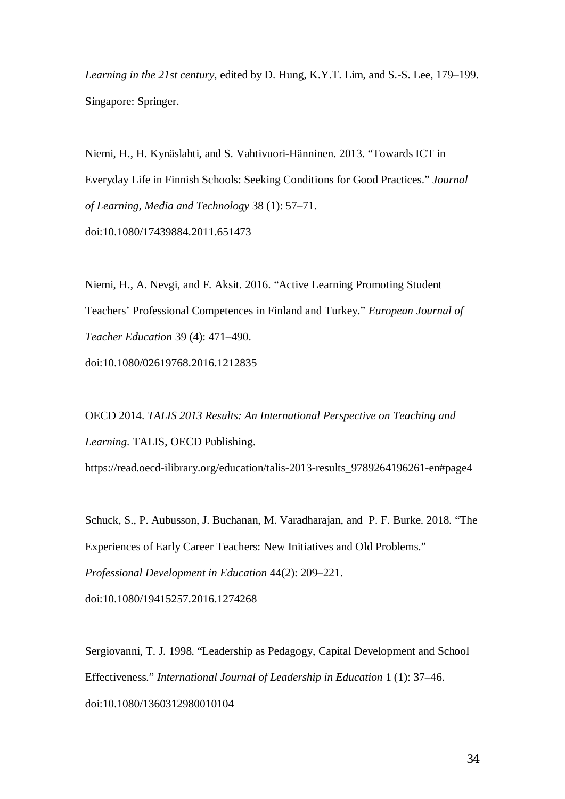*Learning in the 21st century*, edited by D. Hung, K.Y.T. Lim, and S.-S. Lee, 179–199. Singapore: Springer.

Niemi, H., H. Kynäslahti, and S. Vahtivuori-Hänninen. 2013. "Towards ICT in Everyday Life in Finnish Schools: Seeking Conditions for Good Practices." *Journal of Learning, Media and Technology* 38 (1): 57–71. doi:10.1080/17439884.2011.651473

Niemi, H., A. Nevgi, and F. Aksit. 2016. "Active Learning Promoting Student Teachers' Professional Competences in Finland and Turkey." *European Journal of Teacher Education* 39 (4): 471–490. doi:10.1080/02619768.2016.1212835

OECD 2014. *TALIS 2013 Results: An International Perspective on Teaching and Learning*. TALIS, OECD Publishing.

https://read.oecd-ilibrary.org/education/talis-2013-results\_9789264196261-en#page4

Schuck, S., P. Aubusson, J. Buchanan, M. Varadharajan, and P. F. Burke. 2018. "The Experiences of Early Career Teachers: New Initiatives and Old Problems." *Professional Development in Education* 44(2): 209–221. doi:10.1080/19415257.2016.1274268

Sergiovanni, T. J. 1998. "Leadership as Pedagogy, Capital Development and School Effectiveness." *International Journal of Leadership in Education* 1 (1): 37–46. doi:10.1080/1360312980010104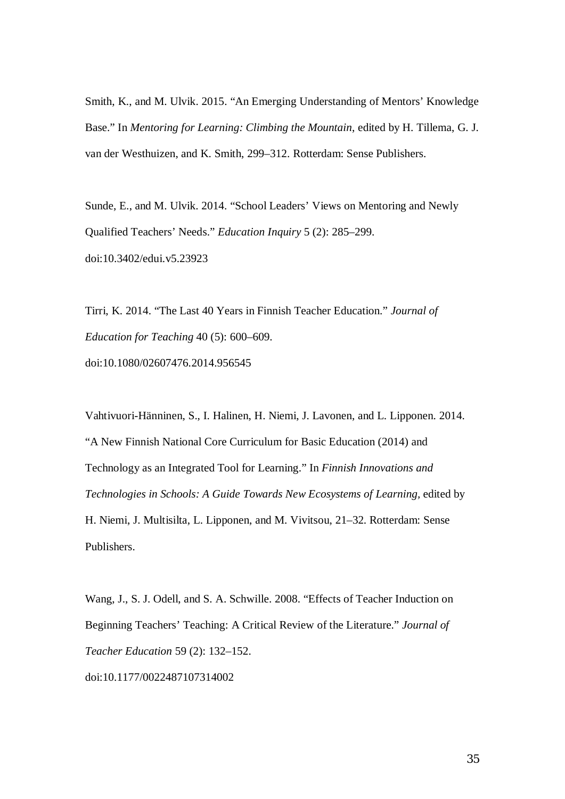Smith, K., and M. Ulvik. 2015. "An Emerging Understanding of Mentors' Knowledge Base." In *Mentoring for Learning: Climbing the Mountain*, edited by H. Tillema, G. J. van der Westhuizen, and K. Smith, 299–312. Rotterdam: Sense Publishers.

Sunde, E., and M. Ulvik. 2014. "School Leaders' Views on Mentoring and Newly Qualified Teachers' Needs." *Education Inquiry* 5 (2): 285–299. doi:10.3402/edui.v5.23923

Tirri, K. 2014. "The Last 40 Years in Finnish Teacher Education." *Journal of Education for Teaching* 40 (5): 600–609. doi:10.1080/02607476.2014.956545

Vahtivuori-Hänninen, S., I. Halinen, H. Niemi, J. Lavonen, and L. Lipponen. 2014. "A New Finnish National Core Curriculum for Basic Education (2014) and Technology as an Integrated Tool for Learning." In *Finnish Innovations and Technologies in Schools: A Guide Towards New Ecosystems of Learning,* edited by H. Niemi, J. Multisilta, L. Lipponen, and M. Vivitsou, 21–32. Rotterdam: Sense Publishers.

Wang, J., S. J. Odell, and S. A. Schwille. 2008. "Effects of Teacher Induction on Beginning Teachers' Teaching: A Critical Review of the Literature." *Journal of Teacher Education* 59 (2): 132–152. doi:10.1177/0022487107314002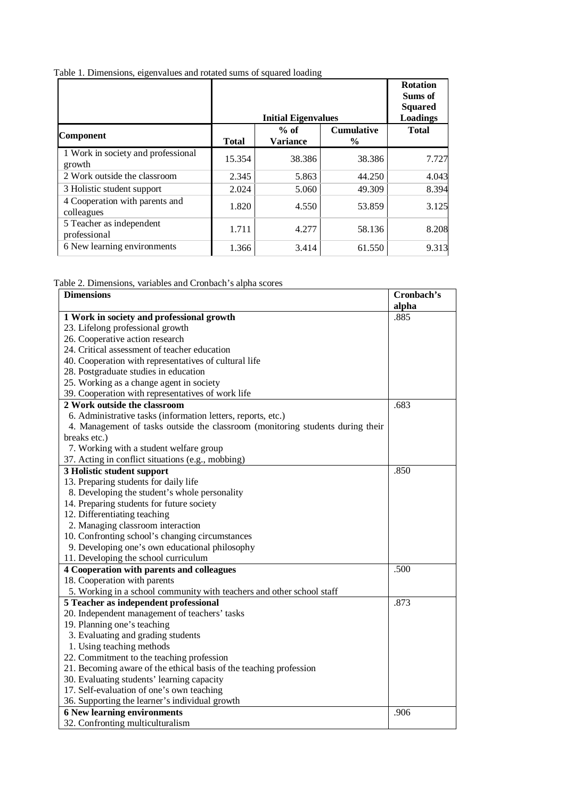Table 1. Dimensions, eigenvalues and rotated sums of squared loading

|                                              |              | <b>Initial Eigenvalues</b> |                                    | <b>Rotation</b><br>Sums of<br><b>Squared</b><br>Loadings |
|----------------------------------------------|--------------|----------------------------|------------------------------------|----------------------------------------------------------|
| <b>Component</b>                             | <b>Total</b> | $%$ of<br><b>Variance</b>  | <b>Cumulative</b><br>$\frac{6}{9}$ | <b>Total</b>                                             |
| 1 Work in society and professional<br>growth | 15.354       | 38.386                     | 38.386                             | 7.727                                                    |
| 2 Work outside the classroom                 | 2.345        | 5.863                      | 44.250                             | 4.043                                                    |
| 3 Holistic student support                   | 2.024        | 5.060                      | 49.309                             | 8.394                                                    |
| 4 Cooperation with parents and<br>colleagues | 1.820        | 4.550                      | 53.859                             | 3.125                                                    |
| 5 Teacher as independent<br>professional     | 1.711        | 4.277                      | 58.136                             | 8.208                                                    |
| 6 New learning environments                  | 1.366        | 3.414                      | 61.550                             | 9.313                                                    |

#### Table 2. Dimensions, variables and Cronbach's alpha scores

| <b>Dimensions</b>                                                              | Cronbach's |
|--------------------------------------------------------------------------------|------------|
|                                                                                | alpha      |
| 1 Work in society and professional growth                                      | .885       |
| 23. Lifelong professional growth                                               |            |
| 26. Cooperative action research                                                |            |
| 24. Critical assessment of teacher education                                   |            |
| 40. Cooperation with representatives of cultural life                          |            |
| 28. Postgraduate studies in education                                          |            |
| 25. Working as a change agent in society                                       |            |
| 39. Cooperation with representatives of work life                              |            |
| 2 Work outside the classroom                                                   | .683       |
| 6. Administrative tasks (information letters, reports, etc.)                   |            |
| 4. Management of tasks outside the classroom (monitoring students during their |            |
| breaks etc.)                                                                   |            |
| 7. Working with a student welfare group                                        |            |
| 37. Acting in conflict situations (e.g., mobbing)                              |            |
| 3 Holistic student support                                                     | .850       |
| 13. Preparing students for daily life                                          |            |
| 8. Developing the student's whole personality                                  |            |
| 14. Preparing students for future society                                      |            |
| 12. Differentiating teaching                                                   |            |
| 2. Managing classroom interaction                                              |            |
| 10. Confronting school's changing circumstances                                |            |
| 9. Developing one's own educational philosophy                                 |            |
| 11. Developing the school curriculum                                           |            |
| 4 Cooperation with parents and colleagues                                      | .500       |
| 18. Cooperation with parents                                                   |            |
| 5. Working in a school community with teachers and other school staff          |            |
| 5 Teacher as independent professional                                          | .873       |
| 20. Independent management of teachers' tasks                                  |            |
| 19. Planning one's teaching                                                    |            |
| 3. Evaluating and grading students                                             |            |
| 1. Using teaching methods                                                      |            |
| 22. Commitment to the teaching profession                                      |            |
| 21. Becoming aware of the ethical basis of the teaching profession             |            |
| 30. Evaluating students' learning capacity                                     |            |
| 17. Self-evaluation of one's own teaching                                      |            |
| 36. Supporting the learner's individual growth                                 |            |
| <b>6 New learning environments</b>                                             | .906       |
| 32. Confronting multiculturalism                                               |            |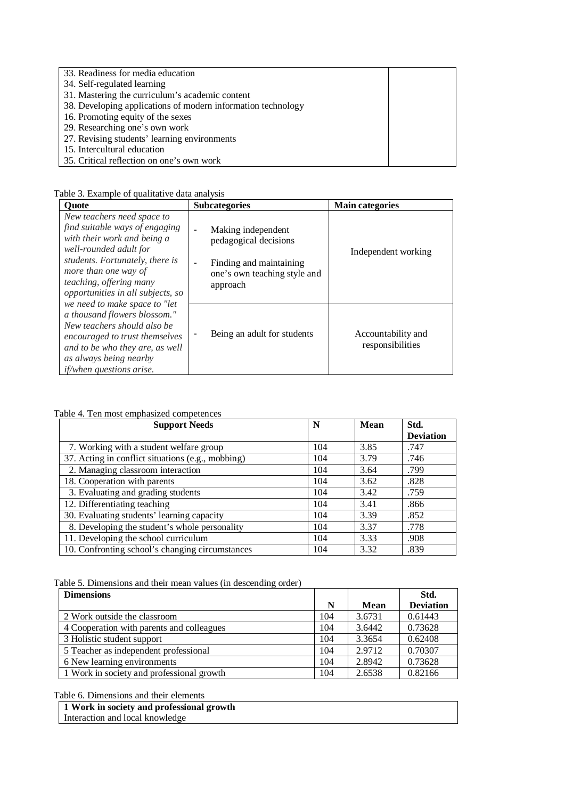#### 33. Readiness for media education

- 34. Self-regulated learning
- 31. Mastering the curriculum's academic content
- 38. Developing applications of modern information technology
- 16. Promoting equity of the sexes
- 29. Researching one's own work
- 27. Revising students' learning environments
- 15. Intercultural education
- 35. Critical reflection on one's own work

| <b>Ouote</b>                                                                                                                                                                                                                                     | <b>Subcategories</b>                                                                                                                 | <b>Main categories</b>                 |
|--------------------------------------------------------------------------------------------------------------------------------------------------------------------------------------------------------------------------------------------------|--------------------------------------------------------------------------------------------------------------------------------------|----------------------------------------|
| New teachers need space to<br>find suitable ways of engaging<br>with their work and being a<br>well-rounded adult for<br>students. Fortunately, there is<br>more than one way of<br>teaching, offering many<br>opportunities in all subjects, so | Making independent<br>$\blacksquare$<br>pedagogical decisions<br>Finding and maintaining<br>one's own teaching style and<br>approach | Independent working                    |
| we need to make space to "let<br>a thousand flowers blossom."<br>New teachers should also be<br>encouraged to trust themselves<br>and to be who they are, as well<br>as always being nearby<br><i>if/when questions arise.</i>                   | Being an adult for students                                                                                                          | Accountability and<br>responsibilities |

#### Table 4. Ten most emphasized competences

| <b>Support Needs</b>                              | N   | Mean | Std.             |
|---------------------------------------------------|-----|------|------------------|
|                                                   |     |      | <b>Deviation</b> |
| 7. Working with a student welfare group           | 104 | 3.85 | .747             |
| 37. Acting in conflict situations (e.g., mobbing) | 104 | 3.79 | .746             |
| 2. Managing classroom interaction                 | 104 | 3.64 | .799             |
| 18. Cooperation with parents                      | 104 | 3.62 | .828             |
| 3. Evaluating and grading students                | 104 | 3.42 | .759             |
| $\overline{12}$ . Differentiating teaching        | 104 | 3.41 | .866             |
| 30. Evaluating students' learning capacity        | 104 | 3.39 | .852             |
| 8. Developing the student's whole personality     | 104 | 3.37 | .778             |
| 11. Developing the school curriculum              | 104 | 3.33 | .908             |
| 10. Confronting school's changing circumstances   | 104 | 3.32 | .839             |

#### Table 5. Dimensions and their mean values (in descending order)

| <b>Dimensions</b>                         |     |        | Std.             |
|-------------------------------------------|-----|--------|------------------|
|                                           | N   | Mean   | <b>Deviation</b> |
| 2 Work outside the classroom              | 104 | 3.6731 | 0.61443          |
| 4 Cooperation with parents and colleagues | 104 | 3.6442 | 0.73628          |
| 3 Holistic student support                | 104 | 3.3654 | 0.62408          |
| 5 Teacher as independent professional     | 104 | 2.9712 | 0.70307          |
| 6 New learning environments               | 104 | 2.8942 | 0.73628          |
| 1 Work in society and professional growth | 104 | 2.6538 | 0.82166          |

#### Table 6. Dimensions and their elements

| 1 Work in society and professional growth |  |
|-------------------------------------------|--|
| Interaction and local knowledge           |  |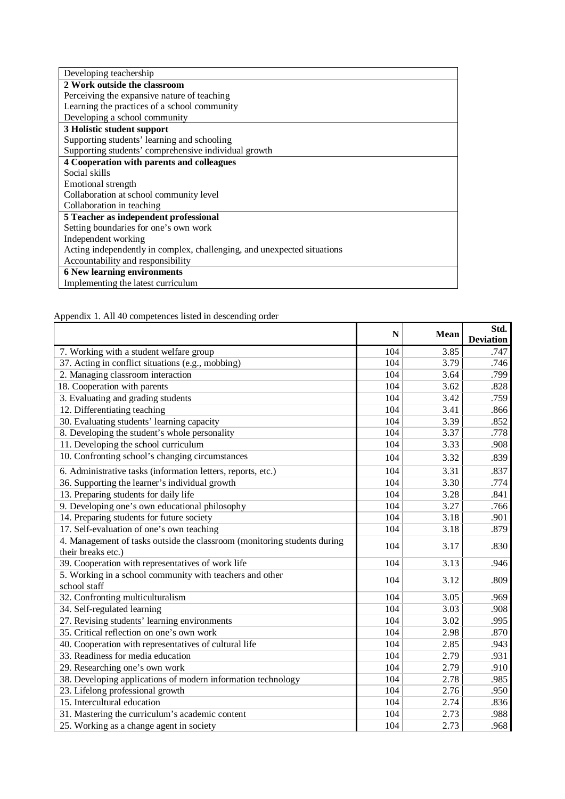| Developing teachership                                                  |
|-------------------------------------------------------------------------|
| 2 Work outside the classroom                                            |
| Perceiving the expansive nature of teaching                             |
| Learning the practices of a school community                            |
| Developing a school community                                           |
| 3 Holistic student support                                              |
| Supporting students' learning and schooling                             |
| Supporting students' comprehensive individual growth                    |
| 4 Cooperation with parents and colleagues                               |
| Social skills                                                           |
| Emotional strength                                                      |
| Collaboration at school community level                                 |
| Collaboration in teaching                                               |
| 5 Teacher as independent professional                                   |
| Setting boundaries for one's own work                                   |
| Independent working                                                     |
| Acting independently in complex, challenging, and unexpected situations |
| Accountability and responsibility                                       |
| <b>6 New learning environments</b>                                      |
| Implementing the latest curriculum                                      |

Appendix 1. All 40 competences listed in descending order

|                                                                                                | N   | <b>Mean</b> | Std.<br><b>Deviation</b> |
|------------------------------------------------------------------------------------------------|-----|-------------|--------------------------|
| 7. Working with a student welfare group                                                        | 104 | 3.85        | .747                     |
| 37. Acting in conflict situations (e.g., mobbing)                                              | 104 | 3.79        | .746                     |
| 2. Managing classroom interaction                                                              | 104 | 3.64        | .799                     |
| 18. Cooperation with parents                                                                   | 104 | 3.62        | .828                     |
| 3. Evaluating and grading students                                                             | 104 | 3.42        | .759                     |
| 12. Differentiating teaching                                                                   | 104 | 3.41        | .866                     |
| 30. Evaluating students' learning capacity                                                     | 104 | 3.39        | .852                     |
| 8. Developing the student's whole personality                                                  | 104 | 3.37        | .778                     |
| 11. Developing the school curriculum                                                           | 104 | 3.33        | .908                     |
| 10. Confronting school's changing circumstances                                                | 104 | 3.32        | .839                     |
| 6. Administrative tasks (information letters, reports, etc.)                                   | 104 | 3.31        | .837                     |
| 36. Supporting the learner's individual growth                                                 | 104 | 3.30        | .774                     |
| 13. Preparing students for daily life                                                          | 104 | 3.28        | .841                     |
| 9. Developing one's own educational philosophy                                                 | 104 | 3.27        | .766                     |
| 14. Preparing students for future society                                                      | 104 | 3.18        | .901                     |
| 17. Self-evaluation of one's own teaching                                                      | 104 | 3.18        | .879                     |
| 4. Management of tasks outside the classroom (monitoring students during<br>their breaks etc.) | 104 | 3.17        | .830                     |
| 39. Cooperation with representatives of work life                                              | 104 | 3.13        | .946                     |
| 5. Working in a school community with teachers and other<br>school staff                       | 104 | 3.12        | .809                     |
| 32. Confronting multiculturalism                                                               | 104 | 3.05        | .969                     |
| 34. Self-regulated learning                                                                    | 104 | 3.03        | .908                     |
| 27. Revising students' learning environments                                                   | 104 | 3.02        | .995                     |
| 35. Critical reflection on one's own work                                                      | 104 | 2.98        | .870                     |
| 40. Cooperation with representatives of cultural life                                          | 104 | 2.85        | .943                     |
| 33. Readiness for media education                                                              | 104 | 2.79        | .931                     |
| 29. Researching one's own work                                                                 | 104 | 2.79        | .910                     |
| 38. Developing applications of modern information technology                                   | 104 | 2.78        | .985                     |
| 23. Lifelong professional growth                                                               | 104 | 2.76        | .950                     |
| 15. Intercultural education                                                                    | 104 | 2.74        | .836                     |
| 31. Mastering the curriculum's academic content                                                | 104 | 2.73        | .988                     |
| 25. Working as a change agent in society                                                       | 104 | 2.73        | .968                     |